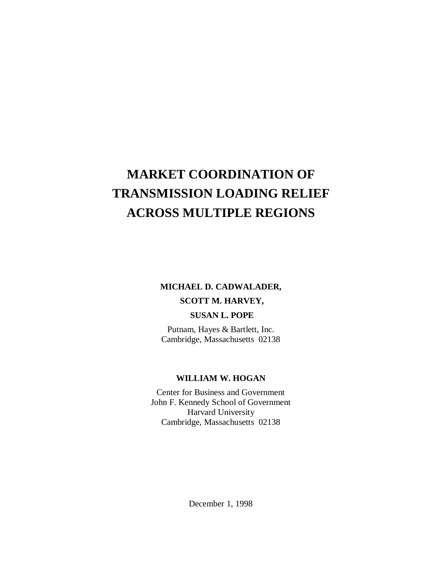# **MARKET COORDINATION OF TRANSMISSION LOADING RELIEF ACROSS MULTIPLE REGIONS**

# **MICHAEL D. CADWALADER, SCOTT M. HARVEY, SUSAN L. POPE**

Putnam, Hayes & Bartlett, Inc. Cambridge, Massachusetts 02138

# **WILLIAM W. HOGAN**

Center for Business and Government John F. Kennedy School of Government Harvard University Cambridge, Massachusetts 02138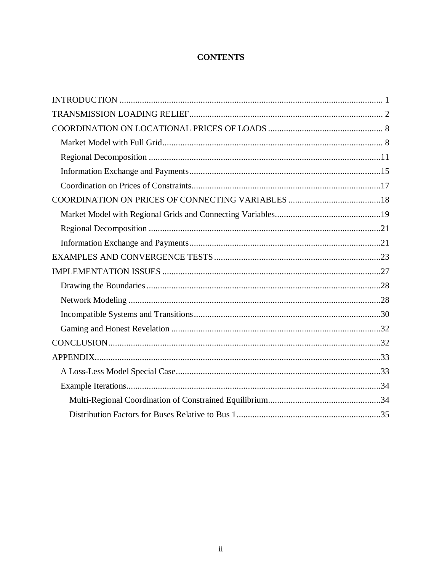# **CONTENTS**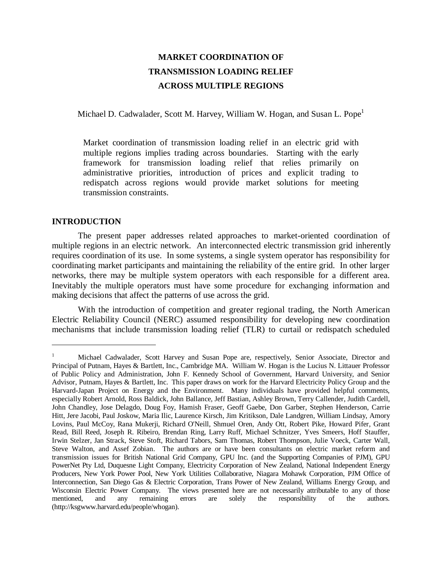# **MARKET COORDINATION OF TRANSMISSION LOADING RELIEF ACROSS MULTIPLE REGIONS**

Michael D. Cadwalader, Scott M. Harvey, William W. Hogan, and Susan L. Pope<sup>1</sup>

Market coordination of transmission loading relief in an electric grid with multiple regions implies trading across boundaries. Starting with the early framework for transmission loading relief that relies primarily on administrative priorities, introduction of prices and explicit trading to redispatch across regions would provide market solutions for meeting transmission constraints.

# **INTRODUCTION**

 $\overline{a}$ 

The present paper addresses related approaches to market-oriented coordination of multiple regions in an electric network. An interconnected electric transmission grid inherently requires coordination of its use. In some systems, a single system operator has responsibility for coordinating market participants and maintaining the reliability of the entire grid. In other larger networks, there may be multiple system operators with each responsible for a different area. Inevitably the multiple operators must have some procedure for exchanging information and making decisions that affect the patterns of use across the grid.

With the introduction of competition and greater regional trading, the North American Electric Reliability Council (NERC) assumed responsibility for developing new coordination mechanisms that include transmission loading relief (TLR) to curtail or redispatch scheduled

<sup>1</sup> Michael Cadwalader, Scott Harvey and Susan Pope are, respectively, Senior Associate, Director and Principal of Putnam, Hayes & Bartlett, Inc., Cambridge MA. William W. Hogan is the Lucius N. Littauer Professor of Public Policy and Administration, John F. Kennedy School of Government, Harvard University, and Senior Advisor, Putnam, Hayes & Bartlett, Inc. This paper draws on work for the Harvard Electricity Policy Group and the Harvard-Japan Project on Energy and the Environment. Many individuals have provided helpful comments, especially Robert Arnold, Ross Baldick, John Ballance, Jeff Bastian, Ashley Brown, Terry Callender, Judith Cardell, John Chandley, Jose Delagdo, Doug Foy, Hamish Fraser, Geoff Gaebe, Don Garber, Stephen Henderson, Carrie Hitt, Jere Jacobi, Paul Joskow, Maria Ilic, Laurence Kirsch, Jim Kritikson, Dale Landgren, William Lindsay, Amory Lovins, Paul McCoy, Rana Mukerji, Richard O'Neill, Shmuel Oren, Andy Ott, Robert Pike, Howard Pifer, Grant Read, Bill Reed, Joseph R. Ribeiro, Brendan Ring, Larry Ruff, Michael Schnitzer, Yves Smeers, Hoff Stauffer, Irwin Stelzer, Jan Strack, Steve Stoft, Richard Tabors, Sam Thomas, Robert Thompson, Julie Voeck, Carter Wall, Steve Walton, and Assef Zobian. The authors are or have been consultants on electric market reform and transmission issues for British National Grid Company, GPU Inc. (and the Supporting Companies of PJM), GPU PowerNet Pty Ltd, Duquesne Light Company, Electricity Corporation of New Zealand, National Independent Energy Producers, New York Power Pool, New York Utilities Collaborative, Niagara Mohawk Corporation, PJM Office of Interconnection, San Diego Gas & Electric Corporation, Trans Power of New Zealand, Williams Energy Group, and Wisconsin Electric Power Company. The views presented here are not necessarily attributable to any of those mentioned, and any remaining errors are solely the responsibility of the authors. (http://ksgwww.harvard.edu/people/whogan).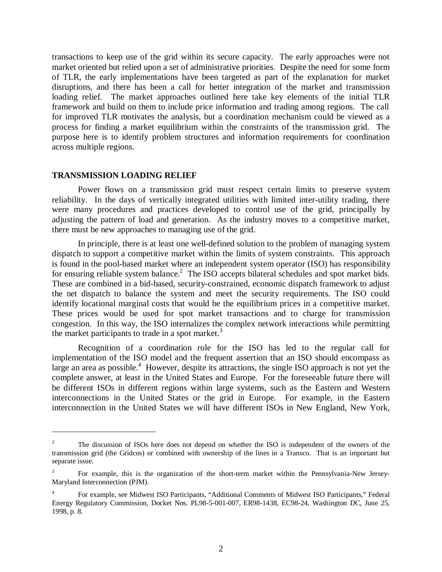transactions to keep use of the grid within its secure capacity. The early approaches were not market oriented but relied upon a set of administrative priorities. Despite the need for some form of TLR, the early implementations have been targeted as part of the explanation for market disruptions, and there has been a call for better integration of the market and transmission loading relief. The market approaches outlined here take key elements of the initial TLR framework and build on them to include price information and trading among regions. The call for improved TLR motivates the analysis, but a coordination mechanism could be viewed as a process for finding a market equilibrium within the constraints of the transmission grid. The purpose here is to identify problem structures and information requirements for coordination across multiple regions.

#### **TRANSMISSION LOADING RELIEF**

 $\overline{a}$ 

Power flows on a transmission grid must respect certain limits to preserve system reliability. In the days of vertically integrated utilities with limited inter-utility trading, there were many procedures and practices developed to control use of the grid, principally by adjusting the pattern of load and generation. As the industry moves to a competitive market, there must be new approaches to managing use of the grid.

In principle, there is at least one well-defined solution to the problem of managing system dispatch to support a competitive market within the limits of system constraints. This approach is found in the pool-based market where an independent system operator (ISO) has responsibility for ensuring reliable system balance.<sup>2</sup> The ISO accepts bilateral schedules and spot market bids. These are combined in a bid-based, security-constrained, economic dispatch framework to adjust the net dispatch to balance the system and meet the security requirements. The ISO could identify locational marginal costs that would be the equilibrium prices in a competitive market. These prices would be used for spot market transactions and to charge for transmission congestion. In this way, the ISO internalizes the complex network interactions while permitting the market participants to trade in a spot market.<sup>3</sup>

Recognition of a coordination role for the ISO has led to the regular call for implementation of the ISO model and the frequent assertion that an ISO should encompass as large an area as possible.<sup>4</sup> However, despite its attractions, the single ISO approach is not yet the complete answer, at least in the United States and Europe. For the foreseeable future there will be different ISOs in different regions within large systems, such as the Eastern and Western interconnections in the United States or the grid in Europe. For example, in the Eastern interconnection in the United States we will have different ISOs in New England, New York,

<sup>2</sup> The discussion of ISOs here does not depend on whether the ISO is independent of the owners of the transmission grid (the Gridcos) or combined with ownership of the lines in a Transco. That is an important but separate issue.

<sup>3</sup> For example, this is the organization of the short-term market within the Pennsylvania-New Jersey-Maryland Interconnection (PJM).

<sup>4</sup> For example, see Midwest ISO Participants, "Additional Comments of Midwest ISO Participants," Federal Energy Regulatory Commission, Docket Nos. PL98-5-001-007, ER98-1438, EC98-24, Washington DC, June 25, 1998, p. 8.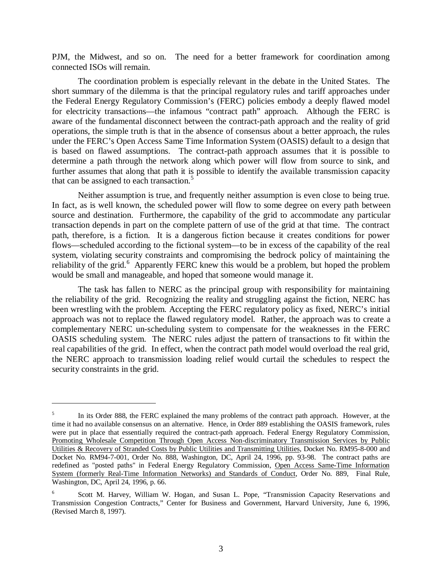PJM, the Midwest, and so on. The need for a better framework for coordination among connected ISOs will remain.

The coordination problem is especially relevant in the debate in the United States. The short summary of the dilemma is that the principal regulatory rules and tariff approaches under the Federal Energy Regulatory Commission's (FERC) policies embody a deeply flawed model for electricity transactions—the infamous "contract path" approach. Although the FERC is aware of the fundamental disconnect between the contract-path approach and the reality of grid operations, the simple truth is that in the absence of consensus about a better approach, the rules under the FERC's Open Access Same Time Information System (OASIS) default to a design that is based on flawed assumptions. The contract-path approach assumes that it is possible to determine a path through the network along which power will flow from source to sink, and further assumes that along that path it is possible to identify the available transmission capacity that can be assigned to each transaction.<sup>5</sup>

Neither assumption is true, and frequently neither assumption is even close to being true. In fact, as is well known, the scheduled power will flow to some degree on every path between source and destination. Furthermore, the capability of the grid to accommodate any particular transaction depends in part on the complete pattern of use of the grid at that time. The contract path, therefore, is a fiction. It is a dangerous fiction because it creates conditions for power flows—scheduled according to the fictional system—to be in excess of the capability of the real system, violating security constraints and compromising the bedrock policy of maintaining the reliability of the grid.<sup>6</sup> Apparently FERC knew this would be a problem, but hoped the problem would be small and manageable, and hoped that someone would manage it.

The task has fallen to NERC as the principal group with responsibility for maintaining the reliability of the grid. Recognizing the reality and struggling against the fiction, NERC has been wrestling with the problem. Accepting the FERC regulatory policy as fixed, NERC's initial approach was not to replace the flawed regulatory model. Rather, the approach was to create a complementary NERC un-scheduling system to compensate for the weaknesses in the FERC OASIS scheduling system. The NERC rules adjust the pattern of transactions to fit within the real capabilities of the grid. In effect, when the contract path model would overload the real grid, the NERC approach to transmission loading relief would curtail the schedules to respect the security constraints in the grid.

<sup>5</sup> In its Order 888, the FERC explained the many problems of the contract path approach. However, at the time it had no available consensus on an alternative. Hence, in Order 889 establishing the OASIS framework, rules were put in place that essentially required the contract-path approach. Federal Energy Regulatory Commission, Promoting Wholesale Competition Through Open Access Non-discriminatory Transmission Services by Public Utilities & Recovery of Stranded Costs by Public Utilities and Transmitting Utilities, Docket No. RM95-8-000 and Docket No. RM94-7-001, Order No. 888, Washington, DC, April 24, 1996, pp. 93-98. The contract paths are redefined as "posted paths" in Federal Energy Regulatory Commission, Open Access Same-Time Information System (formerly Real-Time Information Networks) and Standards of Conduct, Order No. 889, Final Rule, Washington, DC, April 24, 1996, p. 66.

<sup>6</sup> Scott M. Harvey, William W. Hogan, and Susan L. Pope, "Transmission Capacity Reservations and Transmission Congestion Contracts," Center for Business and Government, Harvard University, June 6, 1996, (Revised March 8, 1997).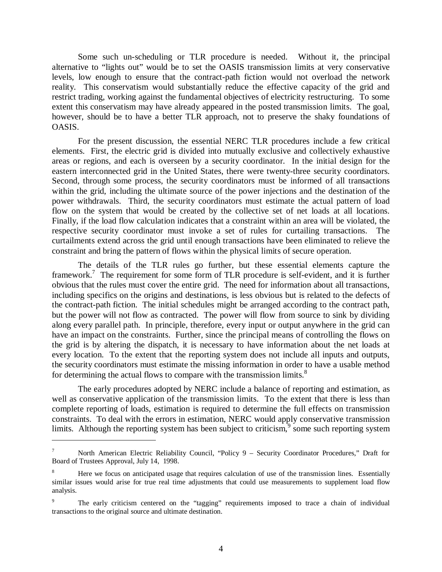Some such un-scheduling or TLR procedure is needed. Without it, the principal alternative to "lights out" would be to set the OASIS transmission limits at very conservative levels, low enough to ensure that the contract-path fiction would not overload the network reality. This conservatism would substantially reduce the effective capacity of the grid and restrict trading, working against the fundamental objectives of electricity restructuring. To some extent this conservatism may have already appeared in the posted transmission limits. The goal, however, should be to have a better TLR approach, not to preserve the shaky foundations of OASIS.

For the present discussion, the essential NERC TLR procedures include a few critical elements. First, the electric grid is divided into mutually exclusive and collectively exhaustive areas or regions, and each is overseen by a security coordinator. In the initial design for the eastern interconnected grid in the United States, there were twenty-three security coordinators. Second, through some process, the security coordinators must be informed of all transactions within the grid, including the ultimate source of the power injections and the destination of the power withdrawals. Third, the security coordinators must estimate the actual pattern of load flow on the system that would be created by the collective set of net loads at all locations. Finally, if the load flow calculation indicates that a constraint within an area will be violated, the respective security coordinator must invoke a set of rules for curtailing transactions. The curtailments extend across the grid until enough transactions have been eliminated to relieve the constraint and bring the pattern of flows within the physical limits of secure operation.

The details of the TLR rules go further, but these essential elements capture the framework.<sup>7</sup> The requirement for some form of TLR procedure is self-evident, and it is further obvious that the rules must cover the entire grid. The need for information about all transactions, including specifics on the origins and destinations, is less obvious but is related to the defects of the contract-path fiction. The initial schedules might be arranged according to the contract path, but the power will not flow as contracted. The power will flow from source to sink by dividing along every parallel path. In principle, therefore, every input or output anywhere in the grid can have an impact on the constraints. Further, since the principal means of controlling the flows on the grid is by altering the dispatch, it is necessary to have information about the net loads at every location. To the extent that the reporting system does not include all inputs and outputs, the security coordinators must estimate the missing information in order to have a usable method for determining the actual flows to compare with the transmission limits. $8$ 

The early procedures adopted by NERC include a balance of reporting and estimation, as well as conservative application of the transmission limits. To the extent that there is less than complete reporting of loads, estimation is required to determine the full effects on transmission constraints. To deal with the errors in estimation, NERC would apply conservative transmission limits. Although the reporting system has been subject to criticism,  $\overline{9}$  some such reporting system

<sup>7</sup> North American Electric Reliability Council, "Policy 9 – Security Coordinator Procedures," Draft for Board of Trustees Approval, July 14, 1998.

<sup>8</sup> Here we focus on anticipated usage that requires calculation of use of the transmission lines. Essentially similar issues would arise for true real time adjustments that could use measurements to supplement load flow analysis.

<sup>9</sup> The early criticism centered on the "tagging" requirements imposed to trace a chain of individual transactions to the original source and ultimate destination.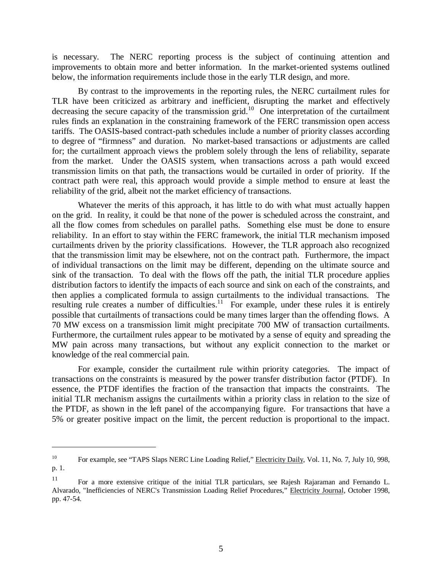is necessary. The NERC reporting process is the subject of continuing attention and improvements to obtain more and better information. In the market-oriented systems outlined below, the information requirements include those in the early TLR design, and more.

By contrast to the improvements in the reporting rules, the NERC curtailment rules for TLR have been criticized as arbitrary and inefficient, disrupting the market and effectively decreasing the secure capacity of the transmission grid.<sup>10</sup> One interpretation of the curtailment rules finds an explanation in the constraining framework of the FERC transmission open access tariffs. The OASIS-based contract-path schedules include a number of priority classes according to degree of "firmness" and duration. No market-based transactions or adjustments are called for; the curtailment approach views the problem solely through the lens of reliability, separate from the market. Under the OASIS system, when transactions across a path would exceed transmission limits on that path, the transactions would be curtailed in order of priority. If the contract path were real, this approach would provide a simple method to ensure at least the reliability of the grid, albeit not the market efficiency of transactions.

Whatever the merits of this approach, it has little to do with what must actually happen on the grid. In reality, it could be that none of the power is scheduled across the constraint, and all the flow comes from schedules on parallel paths. Something else must be done to ensure reliability. In an effort to stay within the FERC framework, the initial TLR mechanism imposed curtailments driven by the priority classifications. However, the TLR approach also recognized that the transmission limit may be elsewhere, not on the contract path. Furthermore, the impact of individual transactions on the limit may be different, depending on the ultimate source and sink of the transaction. To deal with the flows off the path, the initial TLR procedure applies distribution factors to identify the impacts of each source and sink on each of the constraints, and then applies a complicated formula to assign curtailments to the individual transactions. The resulting rule creates a number of difficulties.<sup>11</sup> For example, under these rules it is entirely possible that curtailments of transactions could be many times larger than the offending flows. A 70 MW excess on a transmission limit might precipitate 700 MW of transaction curtailments. Furthermore, the curtailment rules appear to be motivated by a sense of equity and spreading the MW pain across many transactions, but without any explicit connection to the market or knowledge of the real commercial pain.

For example, consider the curtailment rule within priority categories. The impact of transactions on the constraints is measured by the power transfer distribution factor (PTDF). In essence, the PTDF identifies the fraction of the transaction that impacts the constraints. The initial TLR mechanism assigns the curtailments within a priority class in relation to the size of the PTDF, as shown in the left panel of the accompanying figure. For transactions that have a 5% or greater positive impact on the limit, the percent reduction is proportional to the impact.

<sup>&</sup>lt;sup>10</sup> For example, see "TAPS Slaps NERC Line Loading Relief," Electricity Daily, Vol. 11, No. 7, July 10, 998, p. 1.

<sup>11</sup> For a more extensive critique of the initial TLR particulars, see Rajesh Rajaraman and Fernando L. Alvarado, "Inefficiencies of NERC's Transmission Loading Relief Procedures," Electricity Journal, October 1998, pp. 47-54.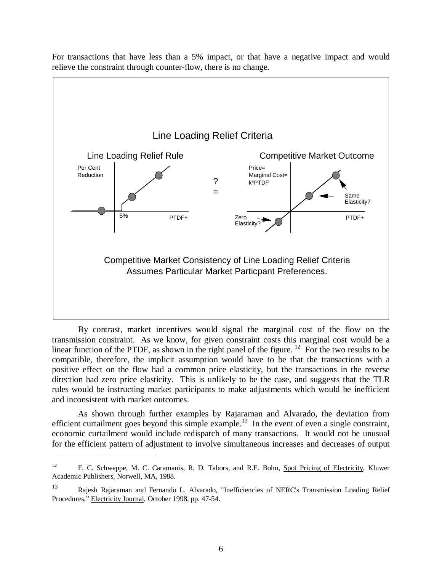

For transactions that have less than a 5% impact, or that have a negative impact and would relieve the constraint through counter-flow, there is no change.

By contrast, market incentives would signal the marginal cost of the flow on the transmission constraint. As we know, for given constraint costs this marginal cost would be a linear function of the PTDF, as shown in the right panel of the figure. <sup>12</sup> For the two results to be compatible, therefore, the implicit assumption would have to be that the transactions with a positive effect on the flow had a common price elasticity, but the transactions in the reverse direction had zero price elasticity. This is unlikely to be the case, and suggests that the TLR rules would be instructing market participants to make adjustments which would be inefficient and inconsistent with market outcomes.

As shown through further examples by Rajaraman and Alvarado, the deviation from efficient curtailment goes beyond this simple example.<sup>13</sup> In the event of even a single constraint, economic curtailment would include redispatch of many transactions. It would not be unusual for the efficient pattern of adjustment to involve simultaneous increases and decreases of output

<sup>&</sup>lt;sup>12</sup> F. C. Schweppe, M. C. Caramanis, R. D. Tabors, and R.E. Bohn, Spot Pricing of Electricity, Kluwer Academic Publishers, Norwell, MA, 1988.

<sup>13</sup> Rajesh Rajaraman and Fernando L. Alvarado, "Inefficiencies of NERC's Transmission Loading Relief Procedures," Electricity Journal, October 1998, pp. 47-54.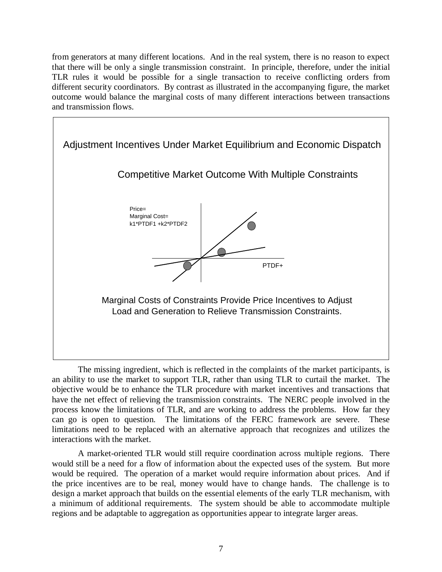from generators at many different locations. And in the real system, there is no reason to expect that there will be only a single transmission constraint. In principle, therefore, under the initial TLR rules it would be possible for a single transaction to receive conflicting orders from different security coordinators. By contrast as illustrated in the accompanying figure, the market outcome would balance the marginal costs of many different interactions between transactions and transmission flows.



The missing ingredient, which is reflected in the complaints of the market participants, is an ability to use the market to support TLR, rather than using TLR to curtail the market. The objective would be to enhance the TLR procedure with market incentives and transactions that have the net effect of relieving the transmission constraints. The NERC people involved in the process know the limitations of TLR, and are working to address the problems. How far they can go is open to question. The limitations of the FERC framework are severe. These limitations need to be replaced with an alternative approach that recognizes and utilizes the interactions with the market.

A market-oriented TLR would still require coordination across multiple regions. There would still be a need for a flow of information about the expected uses of the system. But more would be required. The operation of a market would require information about prices. And if the price incentives are to be real, money would have to change hands. The challenge is to design a market approach that builds on the essential elements of the early TLR mechanism, with a minimum of additional requirements. The system should be able to accommodate multiple regions and be adaptable to aggregation as opportunities appear to integrate larger areas.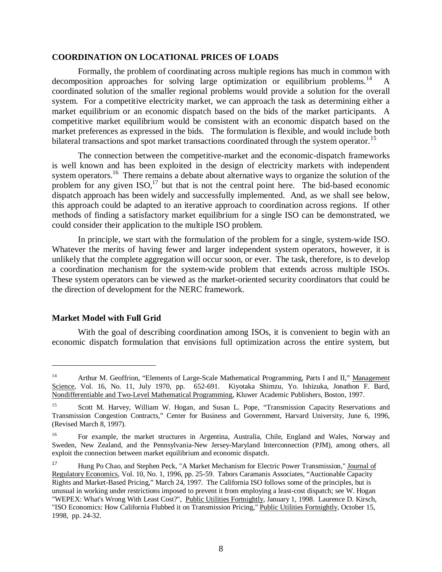#### **COORDINATION ON LOCATIONAL PRICES OF LOADS**

Formally, the problem of coordinating across multiple regions has much in common with decomposition approaches for solving large optimization or equilibrium problems.<sup>14</sup> A coordinated solution of the smaller regional problems would provide a solution for the overall system. For a competitive electricity market, we can approach the task as determining either a market equilibrium or an economic dispatch based on the bids of the market participants. A competitive market equilibrium would be consistent with an economic dispatch based on the market preferences as expressed in the bids. The formulation is flexible, and would include both bilateral transactions and spot market transactions coordinated through the system operator.<sup>15</sup>

The connection between the competitive-market and the economic-dispatch frameworks is well known and has been exploited in the design of electricity markets with independent system operators.<sup>16</sup> There remains a debate about alternative ways to organize the solution of the problem for any given  $ISO<sub>1</sub><sup>17</sup>$  but that is not the central point here. The bid-based economic dispatch approach has been widely and successfully implemented. And, as we shall see below, this approach could be adapted to an iterative approach to coordination across regions. If other methods of finding a satisfactory market equilibrium for a single ISO can be demonstrated, we could consider their application to the multiple ISO problem.

In principle, we start with the formulation of the problem for a single, system-wide ISO. Whatever the merits of having fewer and larger independent system operators, however, it is unlikely that the complete aggregation will occur soon, or ever. The task, therefore, is to develop a coordination mechanism for the system-wide problem that extends across multiple ISOs. These system operators can be viewed as the market-oriented security coordinators that could be the direction of development for the NERC framework.

# **Market Model with Full Grid**

 $\overline{a}$ 

With the goal of describing coordination among ISOs, it is convenient to begin with an economic dispatch formulation that envisions full optimization across the entire system, but

<sup>&</sup>lt;sup>14</sup> Arthur M. Geoffrion, "Elements of Large-Scale Mathematical Programming, Parts I and II," Management Science, Vol. 16, No. 11, July 1970, pp. 652-691. Kiyotaka Shimzu, Yo. Ishizuka, Jonathon F. Bard, Nondifferentiable and Two-Level Mathematical Programming, Kluwer Academic Publishers, Boston, 1997.

<sup>&</sup>lt;sup>15</sup> Scott M. Harvey, William W. Hogan, and Susan L. Pope, "Transmission Capacity Reservations and Transmission Congestion Contracts," Center for Business and Government, Harvard University, June 6, 1996, (Revised March 8, 1997).

<sup>16</sup> For example, the market structures in Argentina, Australia, Chile, England and Wales, Norway and Sweden, New Zealand, and the Pennsylvania-New Jersey-Maryland Interconnection (PJM), among others, all exploit the connection between market equilibrium and economic dispatch.

<sup>17</sup> Hung Po Chao, and Stephen Peck, "A Market Mechanism for Electric Power Transmission," Journal of Regulatory Economics, Vol. 10, No. 1, 1996, pp. 25-59. Tabors Caramanis Associates, "Auctionable Capacity Rights and Market-Based Pricing," March 24, 1997. The California ISO follows some of the principles, but is unusual in working under restrictions imposed to prevent it from employing a least-cost dispatch; see W. Hogan "WEPEX: What's Wrong With Least Cost?", Public Utilities Fortnightly, January 1, 1998. Laurence D. Kirsch, "ISO Economics: How California Flubbed it on Transmission Pricing," Public Utilities Fortnightly, October 15, 1998, pp. 24-32.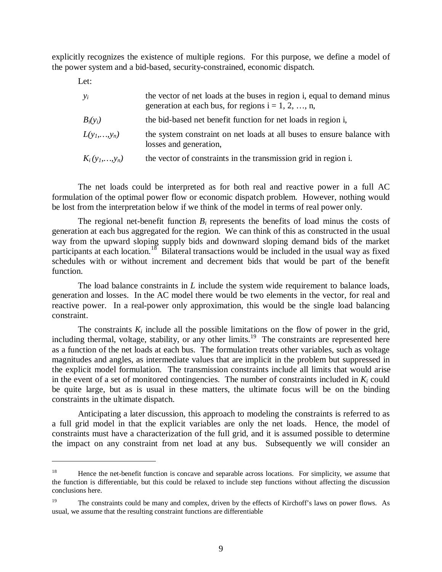explicitly recognizes the existence of multiple regions. For this purpose, we define a model of the power system and a bid-based, security-constrained, economic dispatch.

Let:

 $\overline{a}$ 

| $y_i$           | the vector of net loads at the buses in region i, equal to demand minus<br>generation at each bus, for regions $i = 1, 2, , n$ , |
|-----------------|----------------------------------------------------------------------------------------------------------------------------------|
| $B_i(y_i)$      | the bid-based net benefit function for net loads in region i,                                                                    |
| $L(y_1,,y_n)$   | the system constraint on net loads at all buses to ensure balance with<br>losses and generation,                                 |
| $K_i(y_1,,y_n)$ | the vector of constraints in the transmission grid in region i.                                                                  |

The net loads could be interpreted as for both real and reactive power in a full AC formulation of the optimal power flow or economic dispatch problem. However, nothing would be lost from the interpretation below if we think of the model in terms of real power only.

The regional net-benefit function  $B_i$  represents the benefits of load minus the costs of generation at each bus aggregated for the region. We can think of this as constructed in the usual way from the upward sloping supply bids and downward sloping demand bids of the market participants at each location.<sup>18</sup> Bilateral transactions would be included in the usual way as fixed schedules with or without increment and decrement bids that would be part of the benefit function.

The load balance constraints in *L* include the system wide requirement to balance loads, generation and losses. In the AC model there would be two elements in the vector, for real and reactive power. In a real-power only approximation, this would be the single load balancing constraint.

The constraints  $K_i$  include all the possible limitations on the flow of power in the grid, including thermal, voltage, stability, or any other limits.<sup>19</sup> The constraints are represented here as a function of the net loads at each bus. The formulation treats other variables, such as voltage magnitudes and angles, as intermediate values that are implicit in the problem but suppressed in the explicit model formulation. The transmission constraints include all limits that would arise in the event of a set of monitored contingencies. The number of constraints included in  $K_i$  could be quite large, but as is usual in these matters, the ultimate focus will be on the binding constraints in the ultimate dispatch.

Anticipating a later discussion, this approach to modeling the constraints is referred to as a full grid model in that the explicit variables are only the net loads. Hence, the model of constraints must have a characterization of the full grid, and it is assumed possible to determine the impact on any constraint from net load at any bus. Subsequently we will consider an

<sup>&</sup>lt;sup>18</sup> Hence the net-benefit function is concave and separable across locations. For simplicity, we assume that the function is differentiable, but this could be relaxed to include step functions without affecting the discussion conclusions here.

<sup>&</sup>lt;sup>19</sup> The constraints could be many and complex, driven by the effects of Kirchoff's laws on power flows. As usual, we assume that the resulting constraint functions are differentiable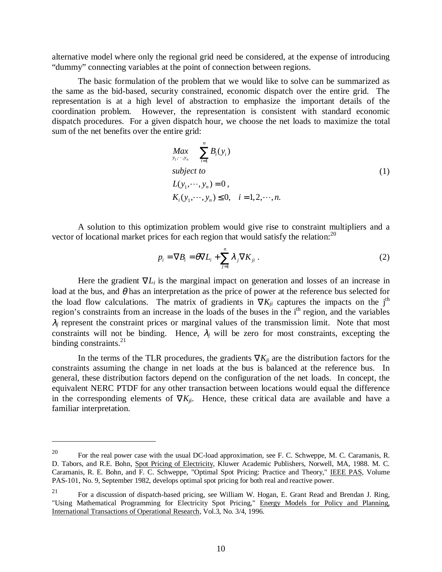alternative model where only the regional grid need be considered, at the expense of introducing "dummy" connecting variables at the point of connection between regions.

The basic formulation of the problem that we would like to solve can be summarized as the same as the bid-based, security constrained, economic dispatch over the entire grid. The representation is at a high level of abstraction to emphasize the important details of the coordination problem. However, the representation is consistent with standard economic dispatch procedures. For a given dispatch hour, we choose the net loads to maximize the total sum of the net benefits over the entire grid:

$$
Max_{y_1, \dots, y_n} \sum_{i=1}^n B_i(y_i)
$$
  
\nsubject to  
\n
$$
L(y_1, \dots, y_n) = 0,
$$
  
\n
$$
K_i(y_1, \dots, y_n) \le 0, \quad i = 1, 2, \dots, n.
$$
\n(1)

A solution to this optimization problem would give rise to constraint multipliers and a vector of locational market prices for each region that would satisfy the relation:<sup>20</sup>

$$
p_i = \nabla B_i = \theta \nabla L_i + \sum_{j=1}^n \lambda_j \nabla K_{ji} .
$$
 (2)

Here the gradient  $\nabla L_i$  is the marginal impact on generation and losses of an increase in load at the bus, and  $\theta$  has an interpretation as the price of power at the reference bus selected for the load flow calculations. The matrix of gradients in  $\nabla K_{ii}$  captures the impacts on the j<sup>th</sup> region's constraints from an increase in the loads of the buses in the i<sup>th</sup> region, and the variables  $\lambda_i$  represent the constraint prices or marginal values of the transmission limit. Note that most constraints will not be binding. Hence,  $\lambda_j$  will be zero for most constraints, excepting the binding constraints. $^{21}$ 

In the terms of the TLR procedures, the gradients  $\nabla K_{ii}$  are the distribution factors for the constraints assuming the change in net loads at the bus is balanced at the reference bus. In general, these distribution factors depend on the configuration of the net loads. In concept, the equivalent NERC PTDF for any other transaction between locations would equal the difference in the corresponding elements of  $\nabla K_{ii}$ . Hence, these critical data are available and have a familiar interpretation.

<sup>&</sup>lt;sup>20</sup> For the real power case with the usual DC-load approximation, see F. C. Schweppe, M. C. Caramanis, R. D. Tabors, and R.E. Bohn, Spot Pricing of Electricity, Kluwer Academic Publishers, Norwell, MA, 1988. M. C. Caramanis, R. E. Bohn, and F. C. Schweppe, "Optimal Spot Pricing: Practice and Theory," IEEE PAS, Volume PAS-101, No. 9, September 1982, develops optimal spot pricing for both real and reactive power.

<sup>&</sup>lt;sup>21</sup> For a discussion of dispatch-based pricing, see William W. Hogan, E. Grant Read and Brendan J. Ring, "Using Mathematical Programming for Electricity Spot Pricing," Energy Models for Policy and Planning, International Transactions of Operational Research, Vol.3, No. 3/4, 1996.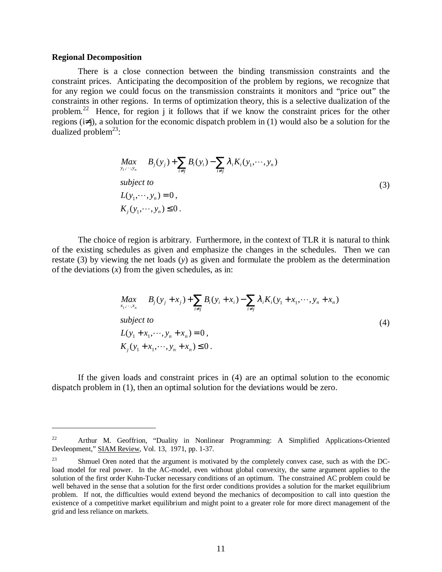#### **Regional Decomposition**

 $\overline{a}$ 

There is a close connection between the binding transmission constraints and the constraint prices. Anticipating the decomposition of the problem by regions, we recognize that for any region we could focus on the transmission constraints it monitors and "price out" the constraints in other regions. In terms of optimization theory, this is a selective dualization of the problem.22 Hence, for region j it follows that if we know the constraint prices for the other regions (i≠j), a solution for the economic dispatch problem in (1) would also be a solution for the dualized problem<sup>23</sup>:

$$
Max_{y_1, \dots, y_n} B_j(y_j) + \sum_{i \neq j} B_i(y_i) - \sum_{i \neq j} \lambda_i K_i(y_1, \dots, y_n)
$$
  
\nsubject to  
\n
$$
L(y_1, \dots, y_n) = 0,
$$
  
\n
$$
K_j(y_1, \dots, y_n) \le 0.
$$
\n(3)

The choice of region is arbitrary. Furthermore, in the context of TLR it is natural to think of the existing schedules as given and emphasize the changes in the schedules. Then we can restate (3) by viewing the net loads (*y*) as given and formulate the problem as the determination of the deviations (*x*) from the given schedules, as in:

$$
Max_{x_1, \dots, x_n} B_j(y_j + x_j) + \sum_{i \neq j} B_i(y_i + x_i) - \sum_{i \neq j} \lambda_i K_i(y_1 + x_1, \dots, y_n + x_n)
$$
  
\nsubject to  
\n
$$
L(y_1 + x_1, \dots, y_n + x_n) = 0,
$$
  
\n
$$
K_j(y_1 + x_1, \dots, y_n + x_n) \le 0.
$$
\n(4)

If the given loads and constraint prices in (4) are an optimal solution to the economic dispatch problem in (1), then an optimal solution for the deviations would be zero.

<sup>&</sup>lt;sup>22</sup> Arthur M. Geoffrion, "Duality in Nonlinear Programming: A Simplified Applications-Oriented Devleopment," SIAM Review, Vol. 13, 1971, pp. 1-37.

<sup>&</sup>lt;sup>23</sup> Shmuel Oren noted that the argument is motivated by the completely convex case, such as with the DCload model for real power. In the AC-model, even without global convexity, the same argument applies to the solution of the first order Kuhn-Tucker necessary conditions of an optimum. The constrained AC problem could be well behaved in the sense that a solution for the first order conditions provides a solution for the market equilibrium problem. If not, the difficulties would extend beyond the mechanics of decomposition to call into question the existence of a competitive market equilibrium and might point to a greater role for more direct management of the grid and less reliance on markets.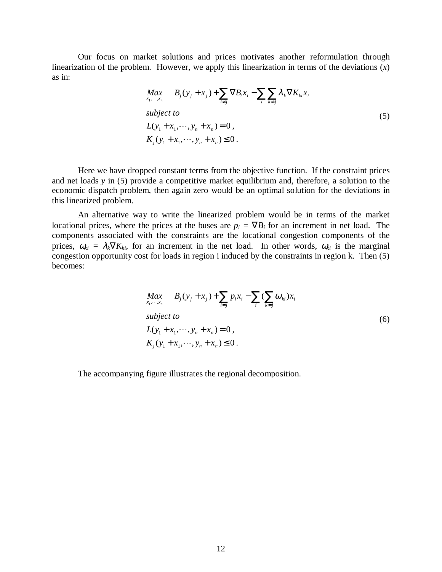Our focus on market solutions and prices motivates another reformulation through linearization of the problem. However, we apply this linearization in terms of the deviations (*x*) as in:

$$
Max_{x_1, \dots, x_n} B_j(y_j + x_j) + \sum_{i \neq j} \nabla B_i x_i - \sum_i \sum_{k \neq j} \lambda_k \nabla K_{ki} x_i
$$
\n
$$
subject to
$$
\n
$$
L(y_1 + x_1, \dots, y_n + x_n) = 0,
$$
\n
$$
K_j(y_1 + x_1, \dots, y_n + x_n) \le 0.
$$
\n(5)

Here we have dropped constant terms from the objective function. If the constraint prices and net loads *y* in (5) provide a competitive market equilibrium and, therefore, a solution to the economic dispatch problem, then again zero would be an optimal solution for the deviations in this linearized problem.

An alternative way to write the linearized problem would be in terms of the market locational prices, where the prices at the buses are  $p_i = \nabla B_i$  for an increment in net load. The components associated with the constraints are the locational congestion components of the prices,  $\omega_{ki} = \lambda_k \nabla K_{ki}$ , for an increment in the net load. In other words,  $\omega_{ki}$  is the marginal congestion opportunity cost for loads in region i induced by the constraints in region k. Then (5) becomes:

$$
Max_{x_1, \dots, x_n} B_j(y_j + x_j) + \sum_{i \neq j} p_i x_i - \sum_i (\sum_{k \neq j} \omega_{ki}) x_i
$$
  
\nsubject to  
\n
$$
L(y_1 + x_1, \dots, y_n + x_n) = 0,
$$
  
\n
$$
K_j(y_1 + x_1, \dots, y_n + x_n) \le 0.
$$
\n(6)

The accompanying figure illustrates the regional decomposition.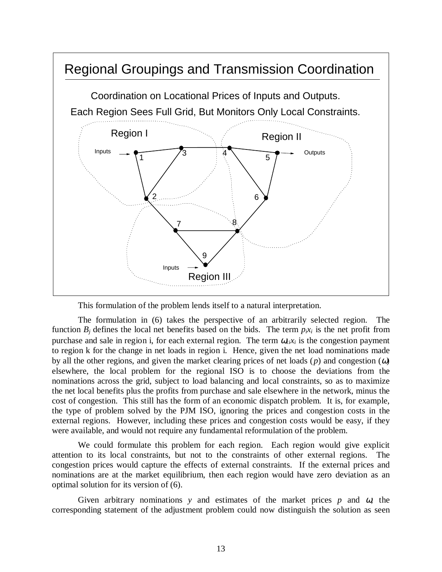

This formulation of the problem lends itself to a natural interpretation.

The formulation in (6) takes the perspective of an arbitrarily selected region. The function  $B_i$  defines the local net benefits based on the bids. The term  $p_i x_i$  is the net profit from purchase and sale in region i, for each external region. The term  $\omega_{i}x_i$  is the congestion payment to region k for the change in net loads in region i. Hence, given the net load nominations made by all the other regions, and given the market clearing prices of net loads (*p*) and congestion (ω) elsewhere, the local problem for the regional ISO is to choose the deviations from the nominations across the grid, subject to load balancing and local constraints, so as to maximize the net local benefits plus the profits from purchase and sale elsewhere in the network, minus the cost of congestion. This still has the form of an economic dispatch problem. It is, for example, the type of problem solved by the PJM ISO, ignoring the prices and congestion costs in the external regions. However, including these prices and congestion costs would be easy, if they were available, and would not require any fundamental reformulation of the problem.

We could formulate this problem for each region. Each region would give explicit attention to its local constraints, but not to the constraints of other external regions. The congestion prices would capture the effects of external constraints. If the external prices and nominations are at the market equilibrium, then each region would have zero deviation as an optimal solution for its version of (6).

Given arbitrary nominations  $y$  and estimates of the market prices  $p$  and  $\omega$ , the corresponding statement of the adjustment problem could now distinguish the solution as seen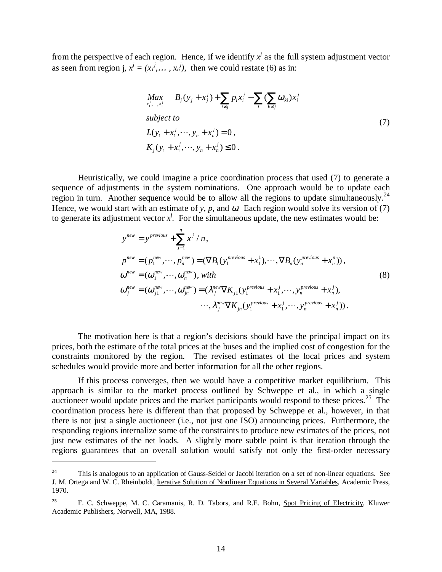from the perspective of each region. Hence, if we identify  $x^j$  as the full system adjustment vector as seen from region j,  $x^j = (x_1^j, \dots, x_n^j)$ , then we could restate (6) as in:

$$
\begin{aligned}\n\max_{x_1^j, \dots, x_i^j} & B_j(y_j + x_j^j) + \sum_{i \neq j} p_i x_i^j - \sum_i (\sum_{k \neq j} \omega_{ki}) x_i^j \\
\text{subject to} \\
L(y_1 + x_1^j, \dots, y_n + x_n^j) &= 0, \\
K_j(y_1 + x_1^j, \dots, y_n + x_n^j) &\leq 0.\n\end{aligned} \tag{7}
$$

Heuristically, we could imagine a price coordination process that used (7) to generate a sequence of adjustments in the system nominations. One approach would be to update each region in turn. Another sequence would be to allow all the regions to update simultaneously.<sup>24</sup> Hence, we would start with an estimate of *y*, *p*, and  $\omega$ . Each region would solve its version of (7) to generate its adjustment vector  $x^j$ . For the simultaneous update, the new estimates would be:

$$
y^{new} = y^{previous} + \sum_{j=1}^{n} x^{j} / n,
$$
  
\n
$$
p^{new} = (p_1^{new}, \dots, p_n^{new}) = (\nabla B_1(y_1^{previous} + x_1^1), \dots, \nabla B_n(y_n^{previous} + x_n^n)),
$$
  
\n
$$
\omega^{new} = (\omega_1^{new}, \dots, \omega_n^{new}), with
$$
  
\n
$$
\omega_j^{new} = (\omega_{j1}^{new}, \dots, \omega_{jn}^{new}) = (\lambda_j^{new} \nabla K_{j1}(y_1^{previous} + x_1^j, \dots, y_n^{previous} + x_n^j), \dots, \lambda_j^{new} \nabla K_{jn}(y_1^{previous} + x_1^j, \dots, y_n^{previous} + x_n^j)).
$$
\n(8)

The motivation here is that a region's decisions should have the principal impact on its prices, both the estimate of the total prices at the buses and the implied cost of congestion for the constraints monitored by the region. The revised estimates of the local prices and system schedules would provide more and better information for all the other regions.

If this process converges, then we would have a competitive market equilibrium. This approach is similar to the market process outlined by Schweppe et al., in which a single auctioneer would update prices and the market participants would respond to these prices.<sup>25</sup> The coordination process here is different than that proposed by Schweppe et al., however, in that there is not just a single auctioneer (i.e., not just one ISO) announcing prices. Furthermore, the responding regions internalize some of the constraints to produce new estimates of the prices, not just new estimates of the net loads. A slightly more subtle point is that iteration through the regions guarantees that an overall solution would satisfy not only the first-order necessary

 $24$  This is analogous to an application of Gauss-Seidel or Jacobi iteration on a set of non-linear equations. See J. M. Ortega and W. C. Rheinboldt, Iterative Solution of Nonlinear Equations in Several Variables, Academic Press, 1970.

<sup>&</sup>lt;sup>25</sup> F. C. Schweppe, M. C. Caramanis, R. D. Tabors, and R.E. Bohn, Spot Pricing of Electricity, Kluwer Academic Publishers, Norwell, MA, 1988.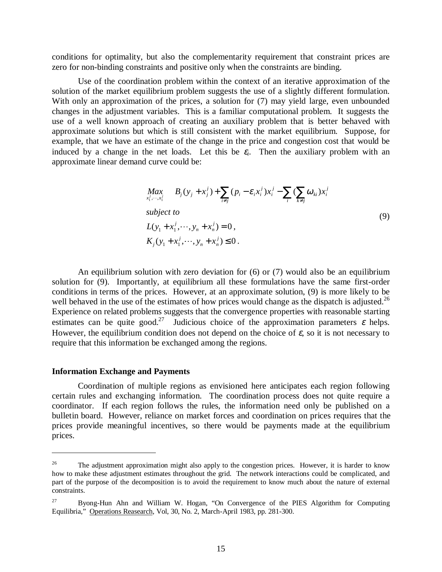conditions for optimality, but also the complementarity requirement that constraint prices are zero for non-binding constraints and positive only when the constraints are binding.

Use of the coordination problem within the context of an iterative approximation of the solution of the market equilibrium problem suggests the use of a slightly different formulation. With only an approximation of the prices, a solution for  $(7)$  may yield large, even unbounded changes in the adjustment variables. This is a familiar computational problem. It suggests the use of a well known approach of creating an auxiliary problem that is better behaved with approximate solutions but which is still consistent with the market equilibrium. Suppose, for example, that we have an estimate of the change in the price and congestion cost that would be induced by a change in the net loads. Let this be  $\varepsilon_i$ . Then the auxiliary problem with an approximate linear demand curve could be:

$$
\begin{aligned}\n\max_{x_1^j, \dots, x_i^j} & B_j(y_j + x_j^j) + \sum_{i \neq j} (p_i - \varepsilon_i x_i^j) x_i^j - \sum_i (\sum_{k \neq j} \omega_{ki}) x_i^j \\
\text{subject to} \\
L(y_1 + x_1^j, \dots, y_n + x_n^j) &= 0, \\
K_j(y_1 + x_1^j, \dots, y_n + x_n^j) &\leq 0.\n\end{aligned} \tag{9}
$$

An equilibrium solution with zero deviation for (6) or (7) would also be an equilibrium solution for (9). Importantly, at equilibrium all these formulations have the same first-order conditions in terms of the prices. However, at an approximate solution, (9) is more likely to be well behaved in the use of the estimates of how prices would change as the dispatch is adjusted.<sup>26</sup> Experience on related problems suggests that the convergence properties with reasonable starting estimates can be quite good.<sup>27</sup> Judicious choice of the approximation parameters  $\varepsilon$  helps. However, the equilibrium condition does not depend on the choice of  $\varepsilon$ , so it is not necessary to require that this information be exchanged among the regions.

#### **Information Exchange and Payments**

 $\overline{a}$ 

Coordination of multiple regions as envisioned here anticipates each region following certain rules and exchanging information. The coordination process does not quite require a coordinator. If each region follows the rules, the information need only be published on a bulletin board. However, reliance on market forces and coordination on prices requires that the prices provide meaningful incentives, so there would be payments made at the equilibrium prices.

<sup>&</sup>lt;sup>26</sup> The adjustment approximation might also apply to the congestion prices. However, it is harder to know how to make these adjustment estimates throughout the grid. The network interactions could be complicated, and part of the purpose of the decomposition is to avoid the requirement to know much about the nature of external constraints.

<sup>27</sup> Byong-Hun Ahn and William W. Hogan, "On Convergence of the PIES Algorithm for Computing Equilibria," Operations Reasearch, Vol, 30, No. 2, March-April 1983, pp. 281-300.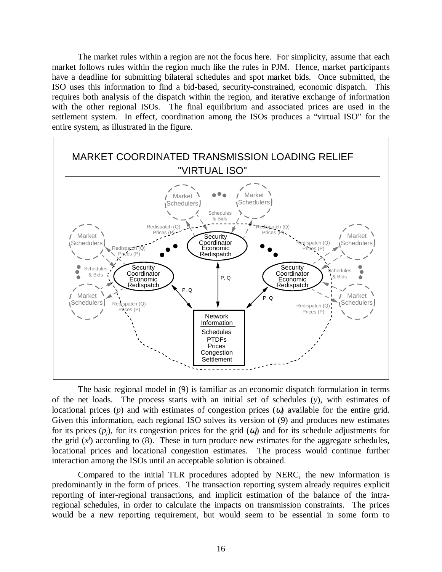The market rules within a region are not the focus here. For simplicity, assume that each market follows rules within the region much like the rules in PJM. Hence, market participants have a deadline for submitting bilateral schedules and spot market bids. Once submitted, the ISO uses this information to find a bid-based, security-constrained, economic dispatch. This requires both analysis of the dispatch within the region, and iterative exchange of information with the other regional ISOs. The final equilibrium and associated prices are used in the settlement system. In effect, coordination among the ISOs produces a "virtual ISO" for the entire system, as illustrated in the figure.



The basic regional model in (9) is familiar as an economic dispatch formulation in terms of the net loads. The process starts with an initial set of schedules (*y*), with estimates of locational prices (*p*) and with estimates of congestion prices (ω) available for the entire grid. Given this information, each regional ISO solves its version of (9) and produces new estimates for its prices  $(p_i)$ , for its congestion prices for the grid  $(q_i)$  and for its schedule adjustments for the grid  $(x^j)$  according to (8). These in turn produce new estimates for the aggregate schedules, locational prices and locational congestion estimates. The process would continue further interaction among the ISOs until an acceptable solution is obtained.

Compared to the initial TLR procedures adopted by NERC, the new information is predominantly in the form of prices. The transaction reporting system already requires explicit reporting of inter-regional transactions, and implicit estimation of the balance of the intraregional schedules, in order to calculate the impacts on transmission constraints. The prices would be a new reporting requirement, but would seem to be essential in some form to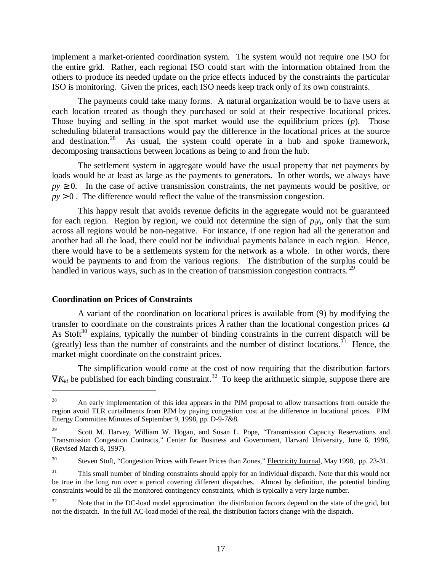implement a market-oriented coordination system. The system would not require one ISO for the entire grid. Rather, each regional ISO could start with the information obtained from the others to produce its needed update on the price effects induced by the constraints the particular ISO is monitoring. Given the prices, each ISO needs keep track only of its own constraints.

The payments could take many forms. A natural organization would be to have users at each location treated as though they purchased or sold at their respective locational prices. Those buying and selling in the spot market would use the equilibrium prices (*p*). Those scheduling bilateral transactions would pay the difference in the locational prices at the source and destination.<sup>28</sup> As usual, the system could operate in a hub and spoke framework, decomposing transactions between locations as being to and from the hub.

The settlement system in aggregate would have the usual property that net payments by loads would be at least as large as the payments to generators. In other words, we always have  $py \ge 0$ . In the case of active transmission constraints, the net payments would be positive, or  $py > 0$ . The difference would reflect the value of the transmission congestion.

This happy result that avoids revenue deficits in the aggregate would not be guaranteed for each region. Region by region, we could not determine the sign of  $p_iy_i$ , only that the sum across all regions would be non-negative. For instance, if one region had all the generation and another had all the load, there could not be individual payments balance in each region. Hence, there would have to be a settlements system for the network as a whole. In other words, there would be payments to and from the various regions. The distribution of the surplus could be handled in various ways, such as in the creation of transmission congestion contracts.<sup>29</sup>

# **Coordination on Prices of Constraints**

 $\overline{a}$ 

A variant of the coordination on locational prices is available from (9) by modifying the transfer to coordinate on the constraints prices  $\lambda$  rather than the locational congestion prices  $\omega$ . As Stoft<sup>30</sup> explains, typically the number of binding constraints in the current dispatch will be (greatly) less than the number of constraints and the number of distinct locations.<sup>31</sup> Hence, the market might coordinate on the constraint prices.

The simplification would come at the cost of now requiring that the distribution factors  $\nabla K_{ki}$  be published for each binding constraint.<sup>32</sup> To keep the arithmetic simple, suppose there are

<sup>&</sup>lt;sup>28</sup> An early implementation of this idea appears in the PJM proposal to allow transactions from outside the region avoid TLR curtailments from PJM by paying congestion cost at the difference in locational prices. PJM Energy Committee Minutes of September 9, 1998, pp. D-9-7&8.

<sup>&</sup>lt;sup>29</sup> Scott M. Harvey, William W. Hogan, and Susan L. Pope, "Transmission Capacity Reservations and Transmission Congestion Contracts," Center for Business and Government, Harvard University, June 6, 1996, (Revised March 8, 1997).

<sup>&</sup>lt;sup>30</sup> Steven Stoft, "Congestion Prices with Fewer Prices than Zones," Electricity Journal, May 1998, pp. 23-31.

<sup>&</sup>lt;sup>31</sup> This small number of binding constraints should apply for an individual dispatch. Note that this would not be true in the long run over a period covering different dispatches. Almost by definition, the potential binding constraints would be all the monitored contingency constraints, which is typically a very large number.

<sup>&</sup>lt;sup>32</sup> Note that in the DC-load model approximation the distribution factors depend on the state of the grid, but not the dispatch. In the full AC-load model of the real, the distribution factors change with the dispatch.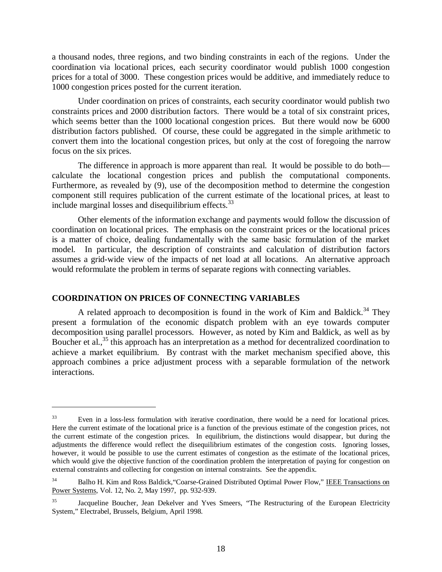a thousand nodes, three regions, and two binding constraints in each of the regions. Under the coordination via locational prices, each security coordinator would publish 1000 congestion prices for a total of 3000. These congestion prices would be additive, and immediately reduce to 1000 congestion prices posted for the current iteration.

Under coordination on prices of constraints, each security coordinator would publish two constraints prices and 2000 distribution factors. There would be a total of six constraint prices, which seems better than the 1000 locational congestion prices. But there would now be 6000 distribution factors published. Of course, these could be aggregated in the simple arithmetic to convert them into the locational congestion prices, but only at the cost of foregoing the narrow focus on the six prices.

The difference in approach is more apparent than real. It would be possible to do both calculate the locational congestion prices and publish the computational components. Furthermore, as revealed by (9), use of the decomposition method to determine the congestion component still requires publication of the current estimate of the locational prices, at least to include marginal losses and disequilibrium effects.<sup>33</sup>

Other elements of the information exchange and payments would follow the discussion of coordination on locational prices. The emphasis on the constraint prices or the locational prices is a matter of choice, dealing fundamentally with the same basic formulation of the market model. In particular, the description of constraints and calculation of distribution factors assumes a grid-wide view of the impacts of net load at all locations. An alternative approach would reformulate the problem in terms of separate regions with connecting variables.

# **COORDINATION ON PRICES OF CONNECTING VARIABLES**

 $\overline{a}$ 

A related approach to decomposition is found in the work of Kim and Baldick.<sup>34</sup> They present a formulation of the economic dispatch problem with an eye towards computer decomposition using parallel processors. However, as noted by Kim and Baldick, as well as by Boucher et al.,<sup>35</sup> this approach has an interpretation as a method for decentralized coordination to achieve a market equilibrium. By contrast with the market mechanism specified above, this approach combines a price adjustment process with a separable formulation of the network interactions.

<sup>&</sup>lt;sup>33</sup> Even in a loss-less formulation with iterative coordination, there would be a need for locational prices. Here the current estimate of the locational price is a function of the previous estimate of the congestion prices, not the current estimate of the congestion prices. In equilibrium, the distinctions would disappear, but during the adjustments the difference would reflect the disequilibrium estimates of the congestion costs. Ignoring losses, however, it would be possible to use the current estimates of congestion as the estimate of the locational prices, which would give the objective function of the coordination problem the interpretation of paying for congestion on external constraints and collecting for congestion on internal constraints. See the appendix.

<sup>&</sup>lt;sup>34</sup> Balho H. Kim and Ross Baldick, "Coarse-Grained Distributed Optimal Power Flow," IEEE Transactions on Power Systems, Vol. 12, No. 2, May 1997, pp. 932-939.

<sup>&</sup>lt;sup>35</sup> Jacqueline Boucher, Jean Dekelver and Yves Smeers, "The Restructuring of the European Electricity System," Electrabel, Brussels, Belgium, April 1998.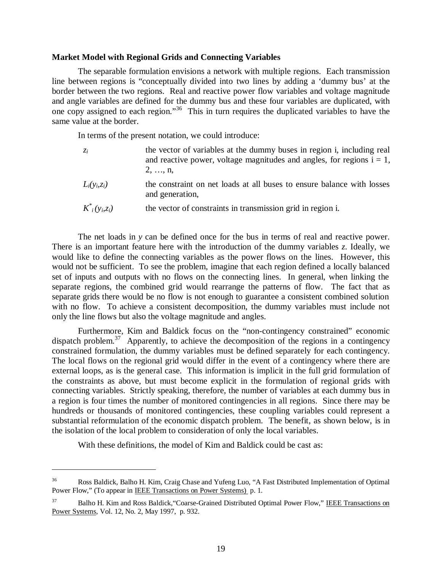#### **Market Model with Regional Grids and Connecting Variables**

The separable formulation envisions a network with multiple regions. Each transmission line between regions is "conceptually divided into two lines by adding a 'dummy bus' at the border between the two regions. Real and reactive power flow variables and voltage magnitude and angle variables are defined for the dummy bus and these four variables are duplicated, with one copy assigned to each region."36 This in turn requires the duplicated variables to have the same value at the border.

In terms of the present notation, we could introduce:

| $Z_i$           | the vector of variables at the dummy buses in region i, including real                    |  |  |  |  |  |  |
|-----------------|-------------------------------------------------------------------------------------------|--|--|--|--|--|--|
|                 | and reactive power, voltage magnitudes and angles, for regions $i = 1$ ,                  |  |  |  |  |  |  |
|                 | $2, \ldots, n$                                                                            |  |  |  |  |  |  |
| $L_i(y_i, z_i)$ | the constraint on net loads at all buses to ensure balance with losses<br>and generation, |  |  |  |  |  |  |

 $K^*_{i}(v_i, z_i)$ *i (yi,zi)* the vector of constraints in transmission grid in region i.

The net loads in *y* can be defined once for the bus in terms of real and reactive power. There is an important feature here with the introduction of the dummy variables *z*. Ideally, we would like to define the connecting variables as the power flows on the lines. However, this would not be sufficient. To see the problem, imagine that each region defined a locally balanced set of inputs and outputs with no flows on the connecting lines. In general, when linking the separate regions, the combined grid would rearrange the patterns of flow. The fact that as separate grids there would be no flow is not enough to guarantee a consistent combined solution with no flow. To achieve a consistent decomposition, the dummy variables must include not only the line flows but also the voltage magnitude and angles.

Furthermore, Kim and Baldick focus on the "non-contingency constrained" economic dispatch problem.<sup>37</sup> Apparently, to achieve the decomposition of the regions in a contingency constrained formulation, the dummy variables must be defined separately for each contingency. The local flows on the regional grid would differ in the event of a contingency where there are external loops, as is the general case. This information is implicit in the full grid formulation of the constraints as above, but must become explicit in the formulation of regional grids with connecting variables. Strictly speaking, therefore, the number of variables at each dummy bus in a region is four times the number of monitored contingencies in all regions. Since there may be hundreds or thousands of monitored contingencies, these coupling variables could represent a substantial reformulation of the economic dispatch problem. The benefit, as shown below, is in the isolation of the local problem to consideration of only the local variables.

With these definitions, the model of Kim and Baldick could be cast as:

<sup>36</sup> Ross Baldick, Balho H. Kim, Craig Chase and Yufeng Luo, "A Fast Distributed Implementation of Optimal Power Flow," (To appear in IEEE Transactions on Power Systems) p. 1.

<sup>&</sup>lt;sup>37</sup> Balho H. Kim and Ross Baldick, "Coarse-Grained Distributed Optimal Power Flow," IEEE Transactions on Power Systems, Vol. 12, No. 2, May 1997, p. 932.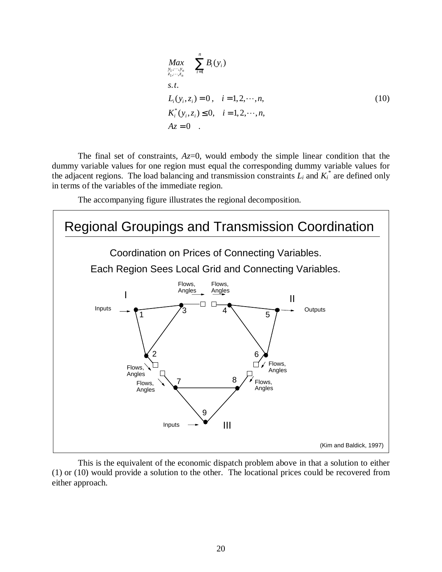$$
Max_{\substack{y_1, \dots, y_n \\ z_1, \dots, z_n}} \sum_{i=1}^n B_i(y_i)
$$
  
s.t.  

$$
L_i(y_i, z_i) = 0, \quad i = 1, 2, \dots, n,
$$
  

$$
K_i^*(y_i, z_i) \le 0, \quad i = 1, 2, \dots, n,
$$
  

$$
Az = 0.
$$
 (10)

The final set of constraints, *Az*=0, would embody the simple linear condition that the dummy variable values for one region must equal the corresponding dummy variable values for the adjacent regions. The load balancing and transmission constraints  $L_i$  and  $K_i^*$  are defined only in terms of the variables of the immediate region.

The accompanying figure illustrates the regional decomposition.



This is the equivalent of the economic dispatch problem above in that a solution to either (1) or (10) would provide a solution to the other. The locational prices could be recovered from either approach.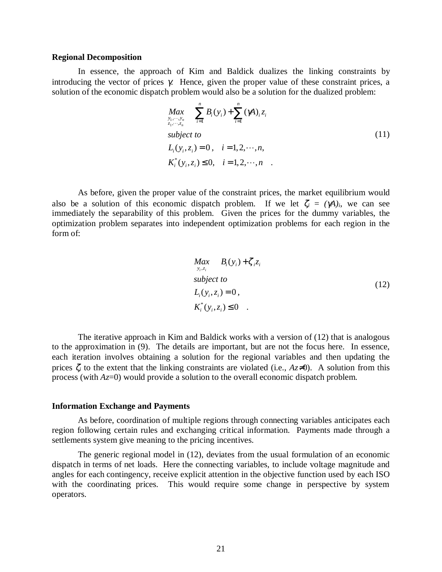#### **Regional Decomposition**

In essence, the approach of Kim and Baldick dualizes the linking constraints by introducing the vector of prices  $\gamma$ . Hence, given the proper value of these constraint prices, a solution of the economic dispatch problem would also be a solution for the dualized problem:

$$
Max_{\substack{y_1, \dots, y_n \\ z_1, \dots, z_n}} \sum_{i=1}^n B_i(y_i) + \sum_{i=1}^n (\gamma A)_i z_i
$$
  
\nsubject to  
\n
$$
L_i(y_i, z_i) = 0, \quad i = 1, 2, \dots, n,
$$
  
\n
$$
K_i^*(y_i, z_i) \le 0, \quad i = 1, 2, \dots, n
$$
 (11)

As before, given the proper value of the constraint prices, the market equilibrium would also be a solution of this economic dispatch problem. If we let  $\zeta_i = (\gamma A)_i$ , we can see immediately the separability of this problem. Given the prices for the dummy variables, the optimization problem separates into independent optimization problems for each region in the form of:

$$
Max_{y_i, z_i} B_i(y_i) + \zeta_i z_i
$$
  
\nsubject to  
\n
$$
L_i(y_i, z_i) = 0,
$$
  
\n
$$
K_i^*(y_i, z_i) \le 0.
$$
\n(12)

The iterative approach in Kim and Baldick works with a version of (12) that is analogous to the approximation in (9). The details are important, but are not the focus here. In essence, each iteration involves obtaining a solution for the regional variables and then updating the prices  $\zeta_i$  to the extent that the linking constraints are violated (i.e.,  $Az\neq 0$ ). A solution from this process (with *Az*=0) would provide a solution to the overall economic dispatch problem.

#### **Information Exchange and Payments**

As before, coordination of multiple regions through connecting variables anticipates each region following certain rules and exchanging critical information. Payments made through a settlements system give meaning to the pricing incentives.

The generic regional model in (12), deviates from the usual formulation of an economic dispatch in terms of net loads. Here the connecting variables, to include voltage magnitude and angles for each contingency, receive explicit attention in the objective function used by each ISO with the coordinating prices. This would require some change in perspective by system operators.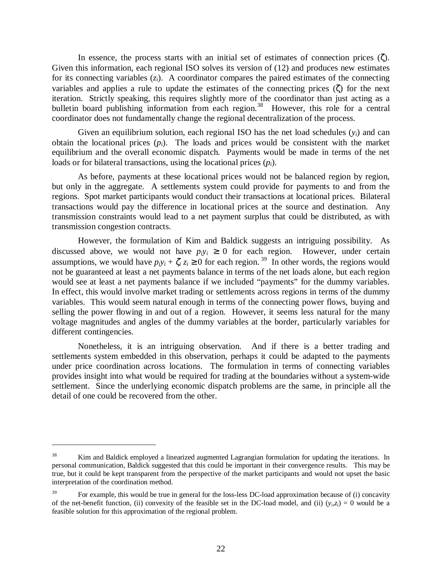In essence, the process starts with an initial set of estimates of connection prices  $(\zeta)$ . Given this information, each regional ISO solves its version of (12) and produces new estimates for its connecting variables  $(z<sub>i</sub>)$ . A coordinator compares the paired estimates of the connecting variables and applies a rule to update the estimates of the connecting prices (ζ) for the next iteration. Strictly speaking, this requires slightly more of the coordinator than just acting as a bulletin board publishing information from each region.<sup>38</sup> However, this role for a central coordinator does not fundamentally change the regional decentralization of the process.

Given an equilibrium solution, each regional ISO has the net load schedules (*yi*) and can obtain the locational prices  $(p_i)$ . The loads and prices would be consistent with the market equilibrium and the overall economic dispatch. Payments would be made in terms of the net loads or for bilateral transactions, using the locational prices (*pi*).

As before, payments at these locational prices would not be balanced region by region, but only in the aggregate. A settlements system could provide for payments to and from the regions. Spot market participants would conduct their transactions at locational prices. Bilateral transactions would pay the difference in locational prices at the source and destination. Any transmission constraints would lead to a net payment surplus that could be distributed, as with transmission congestion contracts.

However, the formulation of Kim and Baldick suggests an intriguing possibility. As discussed above, we would not have  $p_i y_i \geq 0$  for each region. However, under certain assumptions, we would have  $p_iy_i + \zeta_i z_i \ge 0$  for each region.<sup>39</sup> In other words, the regions would not be guaranteed at least a net payments balance in terms of the net loads alone, but each region would see at least a net payments balance if we included "payments" for the dummy variables. In effect, this would involve market trading or settlements across regions in terms of the dummy variables. This would seem natural enough in terms of the connecting power flows, buying and selling the power flowing in and out of a region. However, it seems less natural for the many voltage magnitudes and angles of the dummy variables at the border, particularly variables for different contingencies.

Nonetheless, it is an intriguing observation. And if there is a better trading and settlements system embedded in this observation, perhaps it could be adapted to the payments under price coordination across locations. The formulation in terms of connecting variables provides insight into what would be required for trading at the boundaries without a system-wide settlement. Since the underlying economic dispatch problems are the same, in principle all the detail of one could be recovered from the other.

<sup>&</sup>lt;sup>38</sup> Kim and Baldick employed a linearized augmented Lagrangian formulation for updating the iterations. In personal communication, Baldick suggested that this could be important in their convergence results. This may be true, but it could be kept transparent from the perspective of the market participants and would not upset the basic interpretation of the coordination method.

<sup>&</sup>lt;sup>39</sup> For example, this would be true in general for the loss-less DC-load approximation because of (i) concavity of the net-benefit function, (ii) convexity of the feasible set in the DC-load model, and (ii)  $(y_i, z_i) = 0$  would be a feasible solution for this approximation of the regional problem.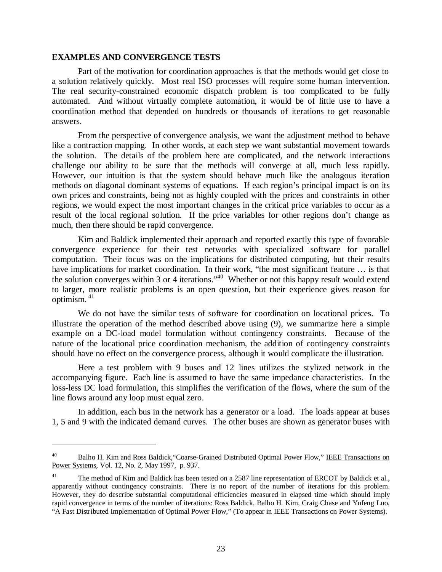#### **EXAMPLES AND CONVERGENCE TESTS**

 $\overline{a}$ 

Part of the motivation for coordination approaches is that the methods would get close to a solution relatively quickly. Most real ISO processes will require some human intervention. The real security-constrained economic dispatch problem is too complicated to be fully automated. And without virtually complete automation, it would be of little use to have a coordination method that depended on hundreds or thousands of iterations to get reasonable answers.

From the perspective of convergence analysis, we want the adjustment method to behave like a contraction mapping. In other words, at each step we want substantial movement towards the solution. The details of the problem here are complicated, and the network interactions challenge our ability to be sure that the methods will converge at all, much less rapidly. However, our intuition is that the system should behave much like the analogous iteration methods on diagonal dominant systems of equations. If each region's principal impact is on its own prices and constraints, being not as highly coupled with the prices and constraints in other regions, we would expect the most important changes in the critical price variables to occur as a result of the local regional solution. If the price variables for other regions don't change as much, then there should be rapid convergence.

Kim and Baldick implemented their approach and reported exactly this type of favorable convergence experience for their test networks with specialized software for parallel computation. Their focus was on the implications for distributed computing, but their results have implications for market coordination. In their work, "the most significant feature ... is that the solution converges within 3 or 4 iterations."40 Whether or not this happy result would extend to larger, more realistic problems is an open question, but their experience gives reason for optimism.  $41$ 

We do not have the similar tests of software for coordination on locational prices. To illustrate the operation of the method described above using (9), we summarize here a simple example on a DC-load model formulation without contingency constraints. Because of the nature of the locational price coordination mechanism, the addition of contingency constraints should have no effect on the convergence process, although it would complicate the illustration.

Here a test problem with 9 buses and 12 lines utilizes the stylized network in the accompanying figure. Each line is assumed to have the same impedance characteristics. In the loss-less DC load formulation, this simplifies the verification of the flows, where the sum of the line flows around any loop must equal zero.

In addition, each bus in the network has a generator or a load. The loads appear at buses 1, 5 and 9 with the indicated demand curves. The other buses are shown as generator buses with

<sup>&</sup>lt;sup>40</sup> Balho H. Kim and Ross Baldick, "Coarse-Grained Distributed Optimal Power Flow," IEEE Transactions on Power Systems, Vol. 12, No. 2, May 1997, p. 937.

<sup>&</sup>lt;sup>41</sup> The method of Kim and Baldick has been tested on a 2587 line representation of ERCOT by Baldick et al., apparently without contingency constraints. There is no report of the number of iterations for this problem. However, they do describe substantial computational efficiencies measured in elapsed time which should imply rapid convergence in terms of the number of iterations: Ross Baldick, Balho H. Kim, Craig Chase and Yufeng Luo, "A Fast Distributed Implementation of Optimal Power Flow," (To appear in IEEE Transactions on Power Systems).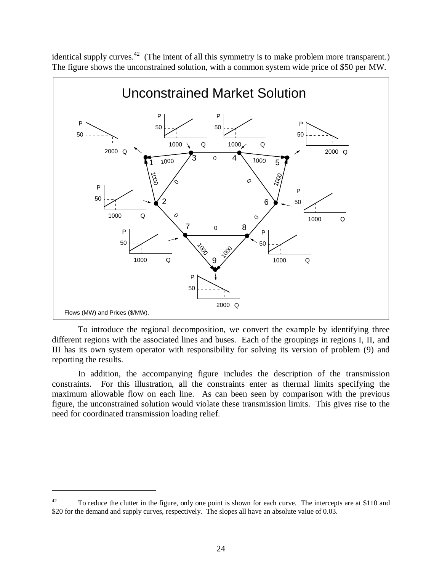identical supply curves.<sup>42</sup> (The intent of all this symmetry is to make problem more transparent.) The figure shows the unconstrained solution, with a common system wide price of \$50 per MW.



To introduce the regional decomposition, we convert the example by identifying three different regions with the associated lines and buses. Each of the groupings in regions I, II, and III has its own system operator with responsibility for solving its version of problem (9) and reporting the results.

In addition, the accompanying figure includes the description of the transmission constraints. For this illustration, all the constraints enter as thermal limits specifying the maximum allowable flow on each line. As can been seen by comparison with the previous figure, the unconstrained solution would violate these transmission limits. This gives rise to the need for coordinated transmission loading relief.

<sup>&</sup>lt;sup>42</sup> To reduce the clutter in the figure, only one point is shown for each curve. The intercepts are at \$110 and \$20 for the demand and supply curves, respectively. The slopes all have an absolute value of 0.03.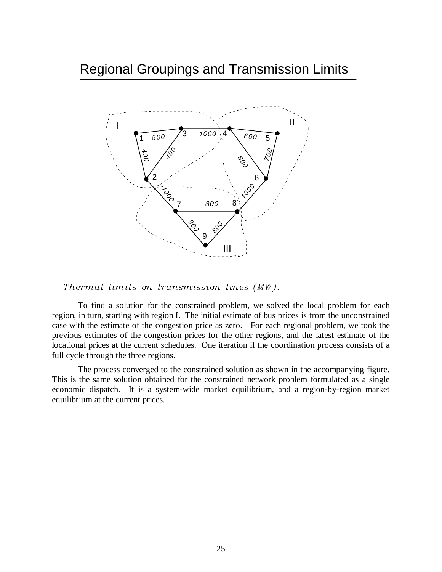

To find a solution for the constrained problem, we solved the local problem for each region, in turn, starting with region I. The initial estimate of bus prices is from the unconstrained case with the estimate of the congestion price as zero. For each regional problem, we took the previous estimates of the congestion prices for the other regions, and the latest estimate of the locational prices at the current schedules. One iteration if the coordination process consists of a full cycle through the three regions.

The process converged to the constrained solution as shown in the accompanying figure. This is the same solution obtained for the constrained network problem formulated as a single economic dispatch. It is a system-wide market equilibrium, and a region-by-region market equilibrium at the current prices.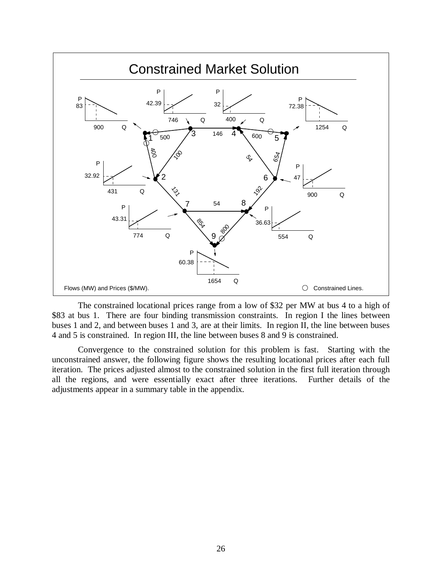

The constrained locational prices range from a low of \$32 per MW at bus 4 to a high of \$83 at bus 1. There are four binding transmission constraints. In region I the lines between buses 1 and 2, and between buses 1 and 3, are at their limits. In region II, the line between buses 4 and 5 is constrained. In region III, the line between buses 8 and 9 is constrained.

Convergence to the constrained solution for this problem is fast. Starting with the unconstrained answer, the following figure shows the resulting locational prices after each full iteration. The prices adjusted almost to the constrained solution in the first full iteration through all the regions, and were essentially exact after three iterations. Further details of the adjustments appear in a summary table in the appendix.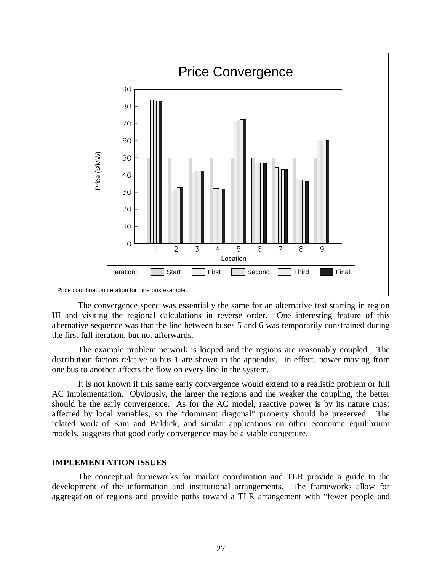

The convergence speed was essentially the same for an alternative test starting in region III and visiting the regional calculations in reverse order. One interesting feature of this alternative sequence was that the line between buses 5 and 6 was temporarily constrained during the first full iteration, but not afterwards.

The example problem network is looped and the regions are reasonably coupled. The distribution factors relative to bus 1 are shown in the appendix. In effect, power moving from one bus to another affects the flow on every line in the system.

It is not known if this same early convergence would extend to a realistic problem or full AC implementation. Obviously, the larger the regions and the weaker the coupling, the better should be the early convergence. As for the AC model, reactive power is by its nature most affected by local variables, so the "dominant diagonal" property should be preserved. The related work of Kim and Baldick, and similar applications on other economic equilibrium models, suggests that good early convergence may be a viable conjecture.

# **IMPLEMENTATION ISSUES**

The conceptual frameworks for market coordination and TLR provide a guide to the development of the information and institutional arrangements. The frameworks allow for aggregation of regions and provide paths toward a TLR arrangement with "fewer people and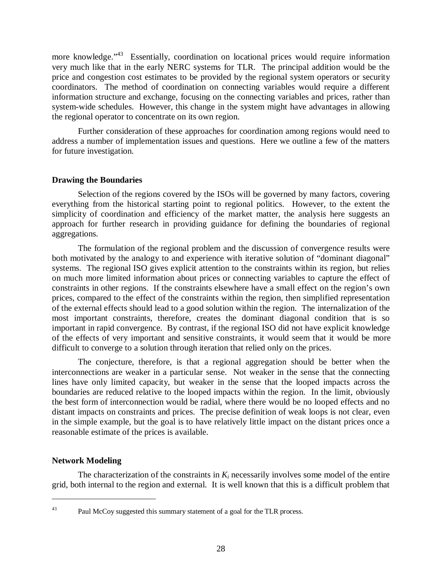more knowledge."<sup>43</sup> Essentially, coordination on locational prices would require information very much like that in the early NERC systems for TLR. The principal addition would be the price and congestion cost estimates to be provided by the regional system operators or security coordinators. The method of coordination on connecting variables would require a different information structure and exchange, focusing on the connecting variables and prices, rather than system-wide schedules. However, this change in the system might have advantages in allowing the regional operator to concentrate on its own region.

Further consideration of these approaches for coordination among regions would need to address a number of implementation issues and questions. Here we outline a few of the matters for future investigation.

# **Drawing the Boundaries**

Selection of the regions covered by the ISOs will be governed by many factors, covering everything from the historical starting point to regional politics. However, to the extent the simplicity of coordination and efficiency of the market matter, the analysis here suggests an approach for further research in providing guidance for defining the boundaries of regional aggregations.

The formulation of the regional problem and the discussion of convergence results were both motivated by the analogy to and experience with iterative solution of "dominant diagonal" systems. The regional ISO gives explicit attention to the constraints within its region, but relies on much more limited information about prices or connecting variables to capture the effect of constraints in other regions. If the constraints elsewhere have a small effect on the region's own prices, compared to the effect of the constraints within the region, then simplified representation of the external effects should lead to a good solution within the region. The internalization of the most important constraints, therefore, creates the dominant diagonal condition that is so important in rapid convergence. By contrast, if the regional ISO did not have explicit knowledge of the effects of very important and sensitive constraints, it would seem that it would be more difficult to converge to a solution through iteration that relied only on the prices.

The conjecture, therefore, is that a regional aggregation should be better when the interconnections are weaker in a particular sense. Not weaker in the sense that the connecting lines have only limited capacity, but weaker in the sense that the looped impacts across the boundaries are reduced relative to the looped impacts within the region. In the limit, obviously the best form of interconnection would be radial, where there would be no looped effects and no distant impacts on constraints and prices. The precise definition of weak loops is not clear, even in the simple example, but the goal is to have relatively little impact on the distant prices once a reasonable estimate of the prices is available.

# **Network Modeling**

The characterization of the constraints in  $K_i$  necessarily involves some model of the entire grid, both internal to the region and external. It is well known that this is a difficult problem that

 $\overline{a}$ 

<sup>&</sup>lt;sup>43</sup> Paul McCoy suggested this summary statement of a goal for the TLR process.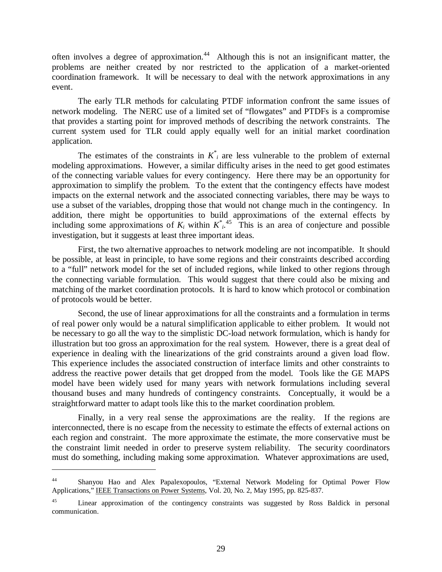often involves a degree of approximation.<sup>44</sup> Although this is not an insignificant matter, the problems are neither created by nor restricted to the application of a market-oriented coordination framework. It will be necessary to deal with the network approximations in any event.

The early TLR methods for calculating PTDF information confront the same issues of network modeling. The NERC use of a limited set of "flowgates" and PTDFs is a compromise that provides a starting point for improved methods of describing the network constraints. The current system used for TLR could apply equally well for an initial market coordination application.

The estimates of the constraints in  $K^*$  are less vulnerable to the problem of external modeling approximations. However, a similar difficulty arises in the need to get good estimates of the connecting variable values for every contingency. Here there may be an opportunity for approximation to simplify the problem. To the extent that the contingency effects have modest impacts on the external network and the associated connecting variables, there may be ways to use a subset of the variables, dropping those that would not change much in the contingency. In addition, there might be opportunities to build approximations of the external effects by including some approximations of  $K_i$  within  $K^*$ <sup>45</sup>. This is an area of conjecture and possible investigation, but it suggests at least three important ideas.

First, the two alternative approaches to network modeling are not incompatible. It should be possible, at least in principle, to have some regions and their constraints described according to a "full" network model for the set of included regions, while linked to other regions through the connecting variable formulation. This would suggest that there could also be mixing and matching of the market coordination protocols. It is hard to know which protocol or combination of protocols would be better.

Second, the use of linear approximations for all the constraints and a formulation in terms of real power only would be a natural simplification applicable to either problem. It would not be necessary to go all the way to the simplistic DC-load network formulation, which is handy for illustration but too gross an approximation for the real system. However, there is a great deal of experience in dealing with the linearizations of the grid constraints around a given load flow. This experience includes the associated construction of interface limits and other constraints to address the reactive power details that get dropped from the model. Tools like the GE MAPS model have been widely used for many years with network formulations including several thousand buses and many hundreds of contingency constraints. Conceptually, it would be a straightforward matter to adapt tools like this to the market coordination problem.

Finally, in a very real sense the approximations are the reality. If the regions are interconnected, there is no escape from the necessity to estimate the effects of external actions on each region and constraint. The more approximate the estimate, the more conservative must be the constraint limit needed in order to preserve system reliability. The security coordinators must do something, including making some approximation. Whatever approximations are used,

<sup>44</sup> Shanyou Hao and Alex Papalexopoulos, "External Network Modeling for Optimal Power Flow Applications," IEEE Transactions on Power Systems, Vol. 20, No. 2, May 1995, pp. 825-837.

<sup>&</sup>lt;sup>45</sup> Linear approximation of the contingency constraints was suggested by Ross Baldick in personal communication.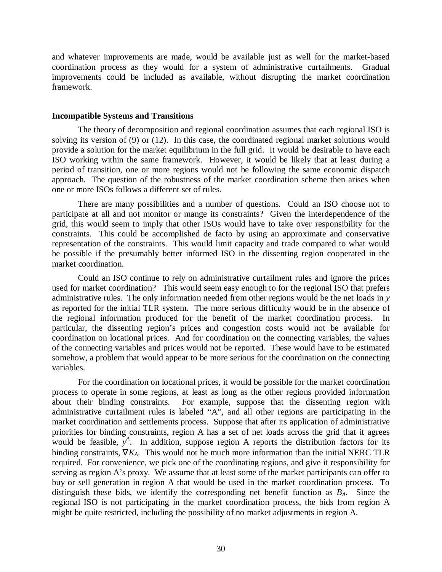and whatever improvements are made, would be available just as well for the market-based coordination process as they would for a system of administrative curtailments. Gradual improvements could be included as available, without disrupting the market coordination framework.

#### **Incompatible Systems and Transitions**

The theory of decomposition and regional coordination assumes that each regional ISO is solving its version of (9) or (12). In this case, the coordinated regional market solutions would provide a solution for the market equilibrium in the full grid. It would be desirable to have each ISO working within the same framework. However, it would be likely that at least during a period of transition, one or more regions would not be following the same economic dispatch approach. The question of the robustness of the market coordination scheme then arises when one or more ISOs follows a different set of rules.

There are many possibilities and a number of questions. Could an ISO choose not to participate at all and not monitor or mange its constraints? Given the interdependence of the grid, this would seem to imply that other ISOs would have to take over responsibility for the constraints. This could be accomplished de facto by using an approximate and conservative representation of the constraints. This would limit capacity and trade compared to what would be possible if the presumably better informed ISO in the dissenting region cooperated in the market coordination.

Could an ISO continue to rely on administrative curtailment rules and ignore the prices used for market coordination? This would seem easy enough to for the regional ISO that prefers administrative rules. The only information needed from other regions would be the net loads in *y* as reported for the initial TLR system. The more serious difficulty would be in the absence of the regional information produced for the benefit of the market coordination process. In particular, the dissenting region's prices and congestion costs would not be available for coordination on locational prices. And for coordination on the connecting variables, the values of the connecting variables and prices would not be reported. These would have to be estimated somehow, a problem that would appear to be more serious for the coordination on the connecting variables.

For the coordination on locational prices, it would be possible for the market coordination process to operate in some regions, at least as long as the other regions provided information about their binding constraints. For example, suppose that the dissenting region with administrative curtailment rules is labeled "A", and all other regions are participating in the market coordination and settlements process. Suppose that after its application of administrative priorities for binding constraints, region A has a set of net loads across the grid that it agrees would be feasible,  $y^A$ . In addition, suppose region A reports the distribution factors for its binding constraints, ∇*KA*. This would not be much more information than the initial NERC TLR required. For convenience, we pick one of the coordinating regions, and give it responsibility for serving as region A's proxy. We assume that at least some of the market participants can offer to buy or sell generation in region A that would be used in the market coordination process. To distinguish these bids, we identify the corresponding net benefit function as *BA*. Since the regional ISO is not participating in the market coordination process, the bids from region A might be quite restricted, including the possibility of no market adjustments in region A.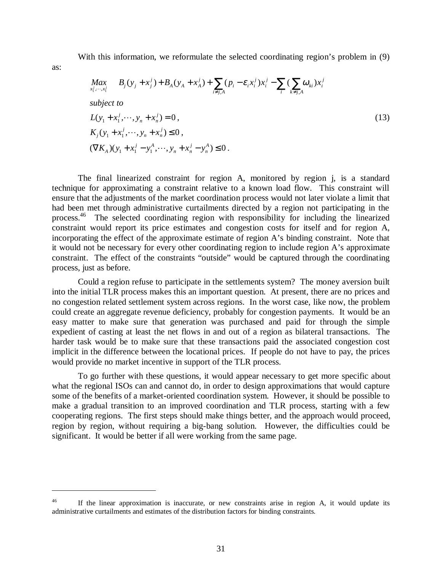With this information, we reformulate the selected coordinating region's problem in (9)

as:

 $\overline{a}$ 

$$
\begin{aligned}\n\text{Max}_{x_1^j, \dots, x_i^j} & B_j(y_j + x_j^j) + B_A(y_A + x_A^j) + \sum_{i \neq j, A} (p_i - \varepsilon_i x_i^j) x_i^j - \sum_i (\sum_{k \neq j, A} \omega_{ki}) x_i^j \\
\text{subject to} \\
L(y_1 + x_1^j, \dots, y_n + x_n^j) &= 0, \\
K_j(y_1 + x_1^j, \dots, y_n + x_n^j) &\leq 0, \\
(\nabla K_A)(y_1 + x_1^j - y_1^A, \dots, y_n + x_n^j - y_n^A) &\leq 0.\n\end{aligned} \tag{13}
$$

The final linearized constraint for region A, monitored by region j, is a standard technique for approximating a constraint relative to a known load flow. This constraint will ensure that the adjustments of the market coordination process would not later violate a limit that had been met through administrative curtailments directed by a region not participating in the process.46 The selected coordinating region with responsibility for including the linearized constraint would report its price estimates and congestion costs for itself and for region A, incorporating the effect of the approximate estimate of region A's binding constraint. Note that it would not be necessary for every other coordinating region to include region A's approximate constraint. The effect of the constraints "outside" would be captured through the coordinating process, just as before.

Could a region refuse to participate in the settlements system? The money aversion built into the initial TLR process makes this an important question. At present, there are no prices and no congestion related settlement system across regions. In the worst case, like now, the problem could create an aggregate revenue deficiency, probably for congestion payments. It would be an easy matter to make sure that generation was purchased and paid for through the simple expedient of casting at least the net flows in and out of a region as bilateral transactions. The harder task would be to make sure that these transactions paid the associated congestion cost implicit in the difference between the locational prices. If people do not have to pay, the prices would provide no market incentive in support of the TLR process.

To go further with these questions, it would appear necessary to get more specific about what the regional ISOs can and cannot do, in order to design approximations that would capture some of the benefits of a market-oriented coordination system. However, it should be possible to make a gradual transition to an improved coordination and TLR process, starting with a few cooperating regions. The first steps should make things better, and the approach would proceed, region by region, without requiring a big-bang solution. However, the difficulties could be significant. It would be better if all were working from the same page.

<sup>&</sup>lt;sup>46</sup> If the linear approximation is inaccurate, or new constraints arise in region A, it would update its administrative curtailments and estimates of the distribution factors for binding constraints.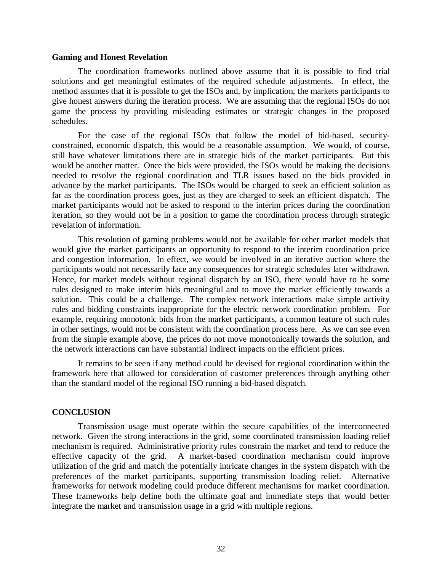#### **Gaming and Honest Revelation**

The coordination frameworks outlined above assume that it is possible to find trial solutions and get meaningful estimates of the required schedule adjustments. In effect, the method assumes that it is possible to get the ISOs and, by implication, the markets participants to give honest answers during the iteration process. We are assuming that the regional ISOs do not game the process by providing misleading estimates or strategic changes in the proposed schedules.

For the case of the regional ISOs that follow the model of bid-based, securityconstrained, economic dispatch, this would be a reasonable assumption. We would, of course, still have whatever limitations there are in strategic bids of the market participants. But this would be another matter. Once the bids were provided, the ISOs would be making the decisions needed to resolve the regional coordination and TLR issues based on the bids provided in advance by the market participants. The ISOs would be charged to seek an efficient solution as far as the coordination process goes, just as they are charged to seek an efficient dispatch. The market participants would not be asked to respond to the interim prices during the coordination iteration, so they would not be in a position to game the coordination process through strategic revelation of information.

This resolution of gaming problems would not be available for other market models that would give the market participants an opportunity to respond to the interim coordination price and congestion information. In effect, we would be involved in an iterative auction where the participants would not necessarily face any consequences for strategic schedules later withdrawn. Hence, for market models without regional dispatch by an ISO, there would have to be some rules designed to make interim bids meaningful and to move the market efficiently towards a solution. This could be a challenge. The complex network interactions make simple activity rules and bidding constraints inappropriate for the electric network coordination problem. For example, requiring monotonic bids from the market participants, a common feature of such rules in other settings, would not be consistent with the coordination process here. As we can see even from the simple example above, the prices do not move monotonically towards the solution, and the network interactions can have substantial indirect impacts on the efficient prices.

It remains to be seen if any method could be devised for regional coordination within the framework here that allowed for consideration of customer preferences through anything other than the standard model of the regional ISO running a bid-based dispatch.

#### **CONCLUSION**

Transmission usage must operate within the secure capabilities of the interconnected network. Given the strong interactions in the grid, some coordinated transmission loading relief mechanism is required. Administrative priority rules constrain the market and tend to reduce the effective capacity of the grid. A market-based coordination mechanism could improve utilization of the grid and match the potentially intricate changes in the system dispatch with the preferences of the market participants, supporting transmission loading relief. Alternative frameworks for network modeling could produce different mechanisms for market coordination. These frameworks help define both the ultimate goal and immediate steps that would better integrate the market and transmission usage in a grid with multiple regions.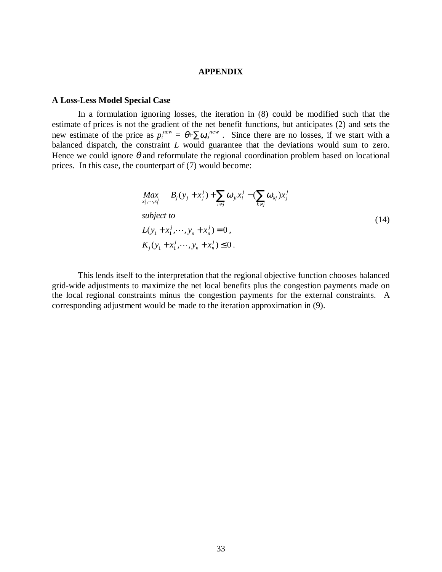# **APPENDIX**

#### **A Loss-Less Model Special Case**

In a formulation ignoring losses, the iteration in (8) could be modified such that the estimate of prices is not the gradient of the net benefit functions, but anticipates (2) and sets the new estimate of the price as  $p_i^{new} = \theta + \sum \omega_{ki}^{new}$ . Since there are no losses, if we start with a balanced dispatch, the constraint *L* would guarantee that the deviations would sum to zero. Hence we could ignore  $\theta$  and reformulate the regional coordination problem based on locational prices. In this case, the counterpart of (7) would become:

$$
\begin{aligned}\n\max_{x_1^j, \dots, x_i^j} & B_j(y_j + x_j^j) + \sum_{i \neq j} \omega_{ji} x_i^j - (\sum_{k \neq j} \omega_{kj}) x_j^j \\
\text{subject to} \\
L(y_1 + x_1^j, \dots, y_n + x_n^j) &= 0, \\
K_j(y_1 + x_1^j, \dots, y_n + x_n^j) &\leq 0.\n\end{aligned} \tag{14}
$$

This lends itself to the interpretation that the regional objective function chooses balanced grid-wide adjustments to maximize the net local benefits plus the congestion payments made on the local regional constraints minus the congestion payments for the external constraints. A corresponding adjustment would be made to the iteration approximation in (9).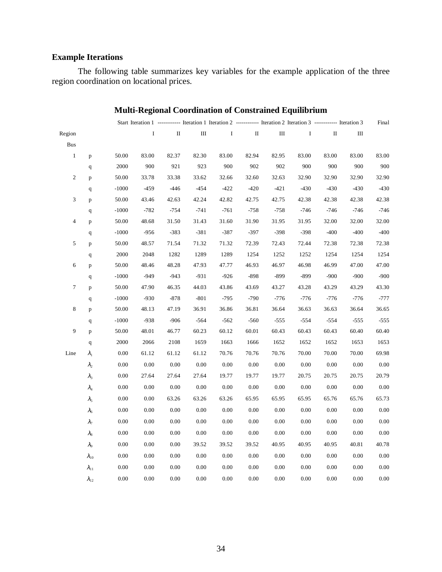# **Example Iterations**

The following table summarizes key variables for the example application of the three region coordination on locational prices.

|                  |                |          |              |              |          |                                                |              |        | Start Iteration 1 ------------ Iteration 1 Iteration 2 ------------ Iteration 2 Iteration 3 ------------ Iteration 3 |          |        | Final    |
|------------------|----------------|----------|--------------|--------------|----------|------------------------------------------------|--------------|--------|----------------------------------------------------------------------------------------------------------------------|----------|--------|----------|
| Region           |                |          | $\mathbf{I}$ | $\mathbf{H}$ | Ш        | $\mathbf{I}$ and $\mathbf{I}$ and $\mathbf{I}$ | $\mathbf{I}$ | Ш      | $\bf{I}$                                                                                                             | П        | Ш      |          |
| <b>Bus</b>       |                |          |              |              |          |                                                |              |        |                                                                                                                      |          |        |          |
| $\mathbf{1}$     | p              | 50.00    | 83.00        | 82.37        | 82.30    | 83.00                                          | 82.94        | 82.95  | 83.00                                                                                                                | 83.00    | 83.00  | 83.00    |
|                  | q              | 2000     | 900          | 921          | 923      | 900                                            | 902          | 902    | 900                                                                                                                  | 900      | 900    | 900      |
| $\boldsymbol{2}$ | p              | 50.00    | 33.78        | 33.38        | 33.62    | 32.66                                          | 32.60        | 32.63  | 32.90                                                                                                                | 32.90    | 32.90  | 32.90    |
|                  | $\mathbf{q}$   | $-1000$  | $-459$       | $-446$       | $-454$   | $-422$                                         | $-420$       | $-421$ | $-430$                                                                                                               | $-430$   | $-430$ | $-430$   |
| 3                | p              | 50.00    | 43.46        | 42.63        | 42.24    | 42.82                                          | 42.75        | 42.75  | 42.38                                                                                                                | 42.38    | 42.38  | 42.38    |
|                  | $\mathbf q$    | $-1000$  | $-782$       | $-754$       | $-741$   | $-761$                                         | $-758$       | $-758$ | $-746$                                                                                                               | $-746$   | $-746$ | $-746$   |
| $\overline{4}$   | p              | 50.00    | 48.68        | 31.50        | 31.43    | 31.60                                          | 31.90        | 31.95  | 31.95                                                                                                                | 32.00    | 32.00  | 32.00    |
|                  | q              | $-1000$  | $-956$       | $-383$       | $-381$   | $-387$                                         | $-397$       | $-398$ | $-398$                                                                                                               | $-400$   | $-400$ | $-400$   |
| 5                | p              | 50.00    | 48.57        | 71.54        | 71.32    | 71.32                                          | 72.39        | 72.43  | 72.44                                                                                                                | 72.38    | 72.38  | 72.38    |
|                  | $\mathbf q$    | 2000     | 2048         | 1282         | 1289     | 1289                                           | 1254         | 1252   | 1252                                                                                                                 | 1254     | 1254   | 1254     |
| 6                | p              | 50.00    | 48.46        | 48.28        | 47.93    | 47.77                                          | 46.93        | 46.97  | 46.98                                                                                                                | 46.99    | 47.00  | 47.00    |
|                  | q              | $-1000$  | $-949$       | $-943$       | $-931$   | $-926$                                         | $-898$       | $-899$ | $-899$                                                                                                               | $-900$   | $-900$ | $-900$   |
| $\tau$           | p              | 50.00    | 47.90        | 46.35        | 44.03    | 43.86                                          | 43.69        | 43.27  | 43.28                                                                                                                | 43.29    | 43.29  | 43.30    |
|                  | $\mathbf q$    | $-1000$  | $-930$       | $-878$       | $-801$   | $-795$                                         | $-790$       | $-776$ | $-776$                                                                                                               | $-776$   | $-776$ | $-777$   |
| $\,$ 8 $\,$      | p              | 50.00    | 48.13        | 47.19        | 36.91    | 36.86                                          | 36.81        | 36.64  | 36.63                                                                                                                | 36.63    | 36.64  | 36.65    |
|                  | q              | $-1000$  | $-938$       | $-906$       | $-564$   | $-562$                                         | $-560$       | $-555$ | $-554$                                                                                                               | $-554$   | $-555$ | $-555$   |
| 9                | p              | 50.00    | 48.01        | 46.77        | 60.23    | 60.12                                          | 60.01        | 60.43  | 60.43                                                                                                                | 60.43    | 60.40  | 60.40    |
|                  | $\mathbf{q}$   | 2000     | 2066         | 2108         | 1659     | 1663                                           | 1666         | 1652   | 1652                                                                                                                 | 1652     | 1653   | 1653     |
| Line             | $\lambda_{1}$  | 0.00     | 61.12        | 61.12        | 61.12    | 70.76                                          | 70.76        | 70.76  | 70.00                                                                                                                | 70.00    | 70.00  | 69.98    |
|                  | $\lambda_{2}$  | 0.00     | 0.00         | $0.00\,$     | $0.00\,$ | 0.00                                           | 0.00         | 0.00   | 0.00                                                                                                                 | 0.00     | 0.00   | 0.00     |
|                  | $\lambda_3$    | $0.00\,$ | 27.64        | 27.64        | 27.64    | 19.77                                          | 19.77        | 19.77  | 20.75                                                                                                                | 20.75    | 20.75  | 20.79    |
|                  | $\lambda_4$    | 0.00     | 0.00         | 0.00         | 0.00     | 0.00                                           | 0.00         | 0.00   | 0.00                                                                                                                 | 0.00     | 0.00   | 0.00     |
|                  | $\lambda_{5}$  | 0.00     | 0.00         | 63.26        | 63.26    | 63.26                                          | 65.95        | 65.95  | 65.95                                                                                                                | 65.76    | 65.76  | 65.73    |
|                  | $\lambda_{6}$  | $0.00\,$ | 0.00         | 0.00         | 0.00     | 0.00                                           | 0.00         | 0.00   | 0.00                                                                                                                 | 0.00     | 0.00   | 0.00     |
|                  | $\lambda_{7}$  | 0.00     | 0.00         | 0.00         | 0.00     | 0.00                                           | 0.00         | 0.00   | 0.00                                                                                                                 | 0.00     | 0.00   | 0.00     |
|                  | $\lambda_8$    | 0.00     | 0.00         | 0.00         | 0.00     | 0.00                                           | 0.00         | 0.00   | 0.00                                                                                                                 | 0.00     | 0.00   | 0.00     |
|                  | $\lambda_{9}$  | $0.00\,$ | $0.00\,$     | $0.00\,$     | 39.52    | 39.52                                          | 39.52        | 40.95  | 40.95                                                                                                                | 40.95    | 40.81  | 40.78    |
|                  | $\lambda_{10}$ | 0.00     | 0.00         | 0.00         | 0.00     | 0.00                                           | 0.00         | 0.00   | 0.00                                                                                                                 | $0.00\,$ | 0.00   | 0.00     |
|                  | $\lambda_{11}$ | 0.00     | 0.00         | 0.00         | 0.00     | 0.00                                           | 0.00         | 0.00   | 0.00                                                                                                                 | 0.00     | 0.00   | 0.00     |
|                  | $\lambda_{12}$ | 0.00     | 0.00         | 0.00         | 0.00     | 0.00                                           | 0.00         | 0.00   | 0.00                                                                                                                 | 0.00     | 0.00   | $0.00\,$ |
|                  |                |          |              |              |          |                                                |              |        |                                                                                                                      |          |        |          |

# **Multi-Regional Coordination of Constrained Equilibrium**